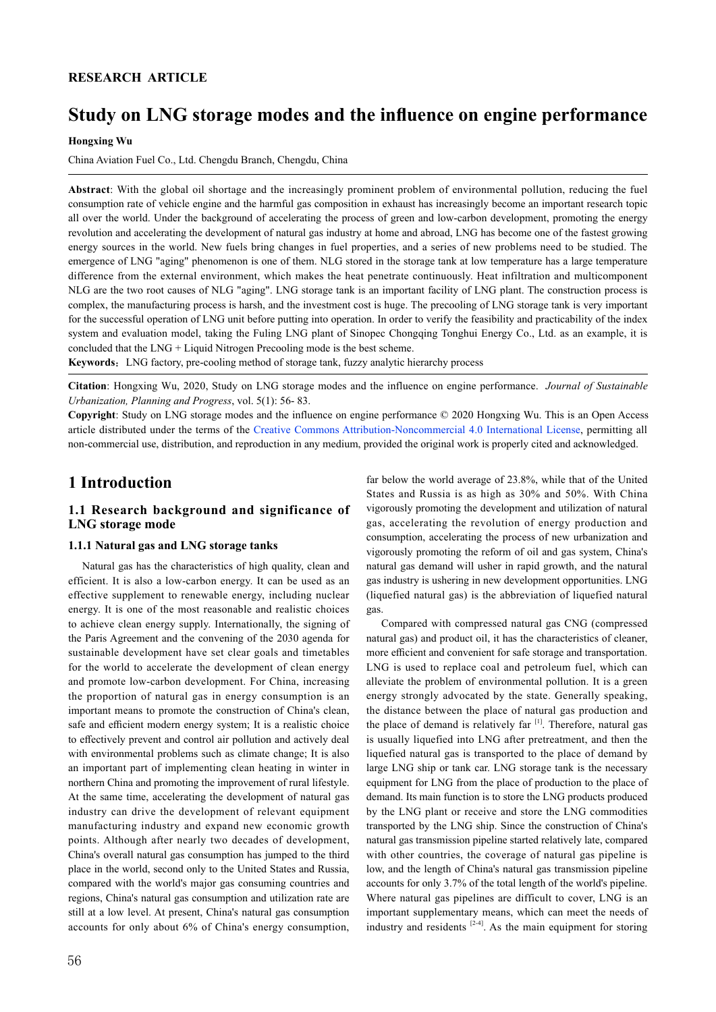## **RESEARCH ARTICLE**

# **Study on LNG storage modes and the influence on engine performance**

**Hongxing Wu**

China Aviation Fuel Co., Ltd. Chengdu Branch, Chengdu, China

**Abstract**: With the global oil shortage and the increasingly prominent problem of environmental pollution, reducing the fuel consumption rate of vehicle engine and the harmful gas composition in exhaust has increasingly become an important research topic all over the world. Under the background of accelerating the process of green and low-carbon development, promoting the energy revolution and accelerating the development of natural gas industry at home and abroad, LNG has become one of the fastest growing energy sources in the world. New fuels bring changes in fuel properties, and a series of new problems need to be studied. The emergence of LNG "aging" phenomenon is one of them. NLG stored in the storage tank at low temperature has a large temperature difference from the external environment, which makes the heat penetrate continuously. Heat infiltration and multicomponent NLG are the two root causes of NLG "aging". LNG storage tank is an important facility of LNG plant. The construction process is complex, the manufacturing process is harsh, and the investment cost is huge. The precooling of LNG storage tank is very important for the successful operation of LNG unit before putting into operation. In order to verify the feasibility and practicability of the index system and evaluation model, taking the Fuling LNG plant of Sinopec Chongqing Tonghui Energy Co., Ltd. as an example, it is concluded that the LNG + Liquid Nitrogen Precooling mode is the best scheme.

**Keywords**:LNG factory, pre-cooling method of storage tank, fuzzy analytic hierarchy process

**Citation**: Hongxing Wu, 2020, Study on LNG storage modes and the influence on engine performance. *Journal of Sustainable Urbanization, Planning and Progress*, vol. 5(1): 56- 83.

**Copyright**: Study on LNG storage modes and the influence on engine performance © 2020 Hongxing Wu. This is an Open Access article distributed under the terms of the Creative Commons Attribution-Noncommercial 4.0 International License, permitting all non-commercial use, distribution, and reproduction in any medium, provided the original work is properly cited and acknowledged.

## **1 Introduction**

## **1.1 Research background and significance of LNG storage mode**

### **1.1.1 Natural gas and LNG storage tanks**

 Natural gas has the characteristics of high quality, clean and efficient. It is also a low-carbon energy. It can be used as an effective supplement to renewable energy, including nuclear energy. It is one of the most reasonable and realistic choices to achieve clean energy supply. Internationally, the signing of the Paris Agreement and the convening of the 2030 agenda for sustainable development have set clear goals and timetables for the world to accelerate the development of clean energy and promote low-carbon development. For China, increasing the proportion of natural gas in energy consumption is an important means to promote the construction of China's clean, safe and efficient modern energy system; It is a realistic choice to effectively prevent and control air pollution and actively deal with environmental problems such as climate change; It is also an important part of implementing clean heating in winter in northern China and promoting the improvement of rural lifestyle. At the same time, accelerating the development of natural gas industry can drive the development of relevant equipment manufacturing industry and expand new economic growth points. Although after nearly two decades of development, China's overall natural gas consumption has jumped to the third place in the world, second only to the United States and Russia, compared with the world's major gas consuming countries and regions, China's natural gas consumption and utilization rate are still at a low level. At present, China's natural gas consumption accounts for only about 6% of China's energy consumption,

far below the world average of 23.8%, while that of the United States and Russia is as high as 30% and 50%. With China vigorously promoting the development and utilization of natural gas, accelerating the revolution of energy production and consumption, accelerating the process of new urbanization and vigorously promoting the reform of oil and gas system, China's natural gas demand will usher in rapid growth, and the natural gas industry is ushering in new development opportunities. LNG (liquefied natural gas) is the abbreviation of liquefied natural gas.

 Compared with compressed natural gas CNG (compressed natural gas) and product oil, it has the characteristics of cleaner, more efficient and convenient for safe storage and transportation. LNG is used to replace coal and petroleum fuel, which can alleviate the problem of environmental pollution. It is a green energy strongly advocated by the state. Generally speaking, the distance between the place of natural gas production and the place of demand is relatively far  $[1]$ . Therefore, natural gas is usually liquefied into LNG after pretreatment, and then the liquefied natural gas is transported to the place of demand by large LNG ship or tank car. LNG storage tank is the necessary equipment for LNG from the place of production to the place of demand. Its main function is to store the LNG products produced by the LNG plant or receive and store the LNG commodities transported by the LNG ship. Since the construction of China's natural gas transmission pipeline started relatively late, compared with other countries, the coverage of natural gas pipeline is low, and the length of China's natural gas transmission pipeline accounts for only 3.7% of the total length of the world's pipeline. Where natural gas pipelines are difficult to cover, LNG is an important supplementary means, which can meet the needs of industry and residents  $[2-4]$ . As the main equipment for storing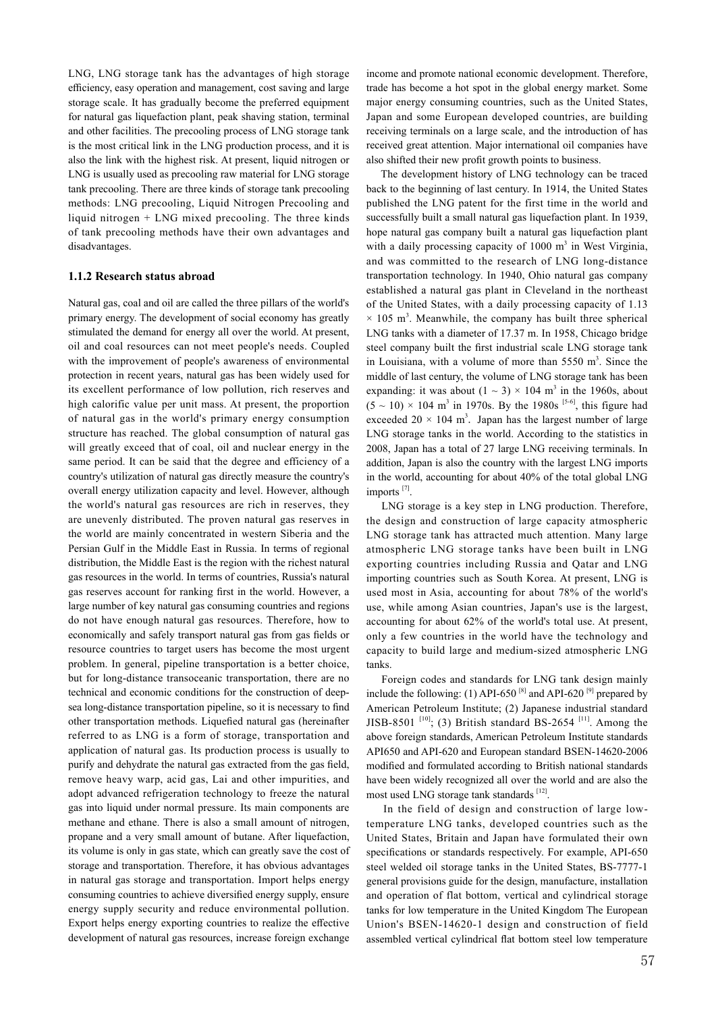LNG, LNG storage tank has the advantages of high storage efficiency, easy operation and management, cost saving and large storage scale. It has gradually become the preferred equipment for natural gas liquefaction plant, peak shaving station, terminal and other facilities. The precooling process of LNG storage tank is the most critical link in the LNG production process, and it is also the link with the highest risk. At present, liquid nitrogen or LNG is usually used as precooling raw material for LNG storage tank precooling. There are three kinds of storage tank precooling methods: LNG precooling, Liquid Nitrogen Precooling and liquid nitrogen + LNG mixed precooling. The three kinds of tank precooling methods have their own advantages and disadvantages.

### **1.1.2 Research status abroad**

Natural gas, coal and oil are called the three pillars of the world's primary energy. The development of social economy has greatly stimulated the demand for energy all over the world. At present, oil and coal resources can not meet people's needs. Coupled with the improvement of people's awareness of environmental protection in recent years, natural gas has been widely used for its excellent performance of low pollution, rich reserves and high calorific value per unit mass. At present, the proportion of natural gas in the world's primary energy consumption structure has reached. The global consumption of natural gas will greatly exceed that of coal, oil and nuclear energy in the same period. It can be said that the degree and efficiency of a country's utilization of natural gas directly measure the country's overall energy utilization capacity and level. However, although the world's natural gas resources are rich in reserves, they are unevenly distributed. The proven natural gas reserves in the world are mainly concentrated in western Siberia and the Persian Gulf in the Middle East in Russia. In terms of regional distribution, the Middle East is the region with the richest natural gas resources in the world. In terms of countries, Russia's natural gas reserves account for ranking first in the world. However, a large number of key natural gas consuming countries and regions do not have enough natural gas resources. Therefore, how to economically and safely transport natural gas from gas fields or resource countries to target users has become the most urgent problem. In general, pipeline transportation is a better choice, but for long-distance transoceanic transportation, there are no technical and economic conditions for the construction of deepsea long-distance transportation pipeline, so it is necessary to find other transportation methods. Liquefied natural gas (hereinafter referred to as LNG is a form of storage, transportation and application of natural gas. Its production process is usually to purify and dehydrate the natural gas extracted from the gas field, remove heavy warp, acid gas, Lai and other impurities, and adopt advanced refrigeration technology to freeze the natural gas into liquid under normal pressure. Its main components are methane and ethane. There is also a small amount of nitrogen, propane and a very small amount of butane. After liquefaction, its volume is only in gas state, which can greatly save the cost of storage and transportation. Therefore, it has obvious advantages in natural gas storage and transportation. Import helps energy consuming countries to achieve diversified energy supply, ensure energy supply security and reduce environmental pollution. Export helps energy exporting countries to realize the effective development of natural gas resources, increase foreign exchange income and promote national economic development. Therefore, trade has become a hot spot in the global energy market. Some major energy consuming countries, such as the United States, Japan and some European developed countries, are building receiving terminals on a large scale, and the introduction of has received great attention. Major international oil companies have also shifted their new profit growth points to business.

 The development history of LNG technology can be traced back to the beginning of last century. In 1914, the United States published the LNG patent for the first time in the world and successfully built a small natural gas liquefaction plant. In 1939, hope natural gas company built a natural gas liquefaction plant with a daily processing capacity of  $1000 \text{ m}^3$  in West Virginia, and was committed to the research of LNG long-distance transportation technology. In 1940, Ohio natural gas company established a natural gas plant in Cleveland in the northeast of the United States, with a daily processing capacity of 1.13  $\times$  105 m<sup>3</sup>. Meanwhile, the company has built three spherical LNG tanks with a diameter of 17.37 m. In 1958, Chicago bridge steel company built the first industrial scale LNG storage tank in Louisiana, with a volume of more than  $5550 \text{ m}^3$ . Since the middle of last century, the volume of LNG storage tank has been expanding: it was about  $(1 \sim 3) \times 104$  m<sup>3</sup> in the 1960s, about  $(5 \sim 10) \times 104$  m<sup>3</sup> in 1970s. By the 1980s <sup>[5-6]</sup>, this figure had exceeded  $20 \times 104$  m<sup>3</sup>. Japan has the largest number of large LNG storage tanks in the world. According to the statistics in 2008, Japan has a total of 27 large LNG receiving terminals. In addition, Japan is also the country with the largest LNG imports in the world, accounting for about 40% of the total global LNG imports<sup>[7]</sup>.

 LNG storage is a key step in LNG production. Therefore, the design and construction of large capacity atmospheric LNG storage tank has attracted much attention. Many large atmospheric LNG storage tanks have been built in LNG exporting countries including Russia and Qatar and LNG importing countries such as South Korea. At present, LNG is used most in Asia, accounting for about 78% of the world's use, while among Asian countries, Japan's use is the largest, accounting for about 62% of the world's total use. At present, only a few countries in the world have the technology and capacity to build large and medium-sized atmospheric LNG tanks.

 Foreign codes and standards for LNG tank design mainly include the following: (1) API-650<sup>[8]</sup> and API-620<sup>[9]</sup> prepared by American Petroleum Institute; (2) Japanese industrial standard JISB-8501<sup>[10]</sup>; (3) British standard BS-2654<sup>[11]</sup>. Among the above foreign standards, American Petroleum Institute standards API650 and API-620 and European standard BSEN-14620-2006 modified and formulated according to British national standards have been widely recognized all over the world and are also the most used LNG storage tank standards [12].

 In the field of design and construction of large lowtemperature LNG tanks, developed countries such as the United States, Britain and Japan have formulated their own specifications or standards respectively. For example, API-650 steel welded oil storage tanks in the United States, BS-7777-1 general provisions guide for the design, manufacture, installation and operation of flat bottom, vertical and cylindrical storage tanks for low temperature in the United Kingdom The European Union's BSEN-14620-1 design and construction of field assembled vertical cylindrical flat bottom steel low temperature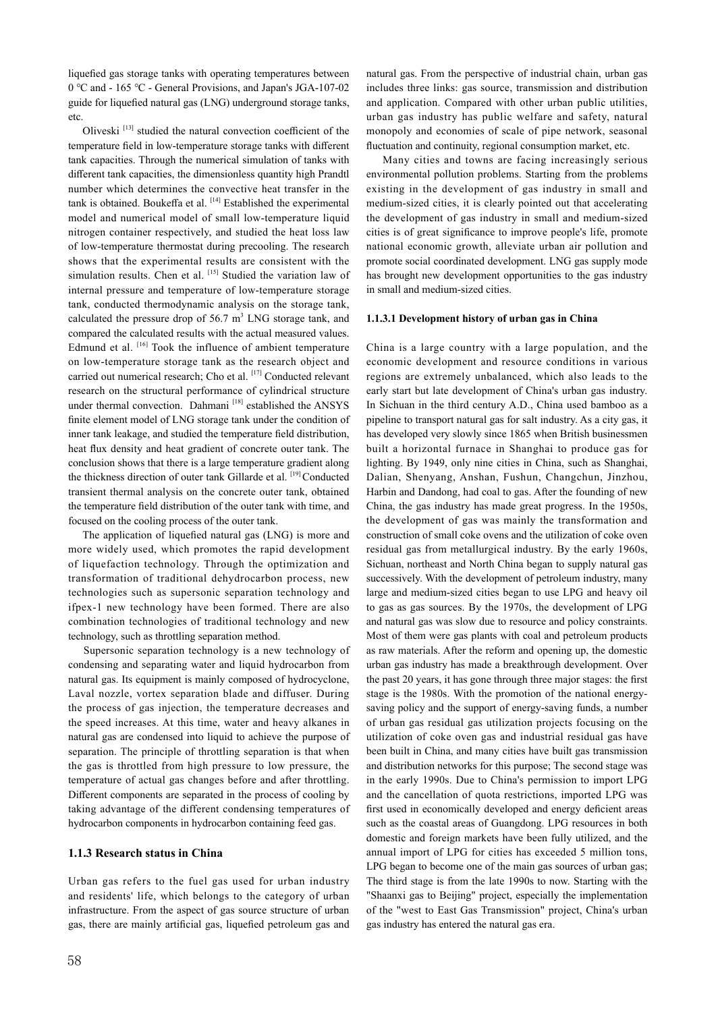liquefied gas storage tanks with operating temperatures between 0 ℃ and - 165 ℃ - General Provisions, and Japan's JGA-107-02 guide for liquefied natural gas (LNG) underground storage tanks, etc.

Oliveski<sup>[13]</sup> studied the natural convection coefficient of the temperature field in low-temperature storage tanks with different tank capacities. Through the numerical simulation of tanks with different tank capacities, the dimensionless quantity high Prandtl number which determines the convective heat transfer in the tank is obtained. Boukeffa et al. [14] Established the experimental model and numerical model of small low-temperature liquid nitrogen container respectively, and studied the heat loss law of low-temperature thermostat during precooling. The research shows that the experimental results are consistent with the simulation results. Chen et al. [15] Studied the variation law of internal pressure and temperature of low-temperature storage tank, conducted thermodynamic analysis on the storage tank, calculated the pressure drop of  $56.7 \text{ m}^3$  LNG storage tank, and compared the calculated results with the actual measured values. Edmund et al. <a>[16]</a> Took the influence of ambient temperature on low-temperature storage tank as the research object and carried out numerical research; Cho et al. [17] Conducted relevant research on the structural performance of cylindrical structure under thermal convection. Dahmani<sup>[18]</sup> established the ANSYS finite element model of LNG storage tank under the condition of inner tank leakage, and studied the temperature field distribution, heat flux density and heat gradient of concrete outer tank. The conclusion shows that there is a large temperature gradient along the thickness direction of outer tank Gillarde et al. [19] Conducted transient thermal analysis on the concrete outer tank, obtained the temperature field distribution of the outer tank with time, and focused on the cooling process of the outer tank.

 The application of liquefied natural gas (LNG) is more and more widely used, which promotes the rapid development of liquefaction technology. Through the optimization and transformation of traditional dehydrocarbon process, new technologies such as supersonic separation technology and ifpex-1 new technology have been formed. There are also combination technologies of traditional technology and new technology, such as throttling separation method.

 Supersonic separation technology is a new technology of condensing and separating water and liquid hydrocarbon from natural gas. Its equipment is mainly composed of hydrocyclone, Laval nozzle, vortex separation blade and diffuser. During the process of gas injection, the temperature decreases and the speed increases. At this time, water and heavy alkanes in natural gas are condensed into liquid to achieve the purpose of separation. The principle of throttling separation is that when the gas is throttled from high pressure to low pressure, the temperature of actual gas changes before and after throttling. Different components are separated in the process of cooling by taking advantage of the different condensing temperatures of hydrocarbon components in hydrocarbon containing feed gas.

### **1.1.3 Research status in China**

Urban gas refers to the fuel gas used for urban industry and residents' life, which belongs to the category of urban infrastructure. From the aspect of gas source structure of urban gas, there are mainly artificial gas, liquefied petroleum gas and

natural gas. From the perspective of industrial chain, urban gas includes three links: gas source, transmission and distribution and application. Compared with other urban public utilities, urban gas industry has public welfare and safety, natural monopoly and economies of scale of pipe network, seasonal fluctuation and continuity, regional consumption market, etc.

 Many cities and towns are facing increasingly serious environmental pollution problems. Starting from the problems existing in the development of gas industry in small and medium-sized cities, it is clearly pointed out that accelerating the development of gas industry in small and medium-sized cities is of great significance to improve people's life, promote national economic growth, alleviate urban air pollution and promote social coordinated development. LNG gas supply mode has brought new development opportunities to the gas industry in small and medium-sized cities.

### **1.1.3.1 Development history of urban gas in China**

China is a large country with a large population, and the economic development and resource conditions in various regions are extremely unbalanced, which also leads to the early start but late development of China's urban gas industry. In Sichuan in the third century A.D., China used bamboo as a pipeline to transport natural gas for salt industry. As a city gas, it has developed very slowly since 1865 when British businessmen built a horizontal furnace in Shanghai to produce gas for lighting. By 1949, only nine cities in China, such as Shanghai, Dalian, Shenyang, Anshan, Fushun, Changchun, Jinzhou, Harbin and Dandong, had coal to gas. After the founding of new China, the gas industry has made great progress. In the 1950s, the development of gas was mainly the transformation and construction of small coke ovens and the utilization of coke oven residual gas from metallurgical industry. By the early 1960s, Sichuan, northeast and North China began to supply natural gas successively. With the development of petroleum industry, many large and medium-sized cities began to use LPG and heavy oil to gas as gas sources. By the 1970s, the development of LPG and natural gas was slow due to resource and policy constraints. Most of them were gas plants with coal and petroleum products as raw materials. After the reform and opening up, the domestic urban gas industry has made a breakthrough development. Over the past 20 years, it has gone through three major stages: the first stage is the 1980s. With the promotion of the national energysaving policy and the support of energy-saving funds, a number of urban gas residual gas utilization projects focusing on the utilization of coke oven gas and industrial residual gas have been built in China, and many cities have built gas transmission and distribution networks for this purpose; The second stage was in the early 1990s. Due to China's permission to import LPG and the cancellation of quota restrictions, imported LPG was first used in economically developed and energy deficient areas such as the coastal areas of Guangdong. LPG resources in both domestic and foreign markets have been fully utilized, and the annual import of LPG for cities has exceeded 5 million tons, LPG began to become one of the main gas sources of urban gas; The third stage is from the late 1990s to now. Starting with the "Shaanxi gas to Beijing" project, especially the implementation of the "west to East Gas Transmission" project, China's urban gas industry has entered the natural gas era.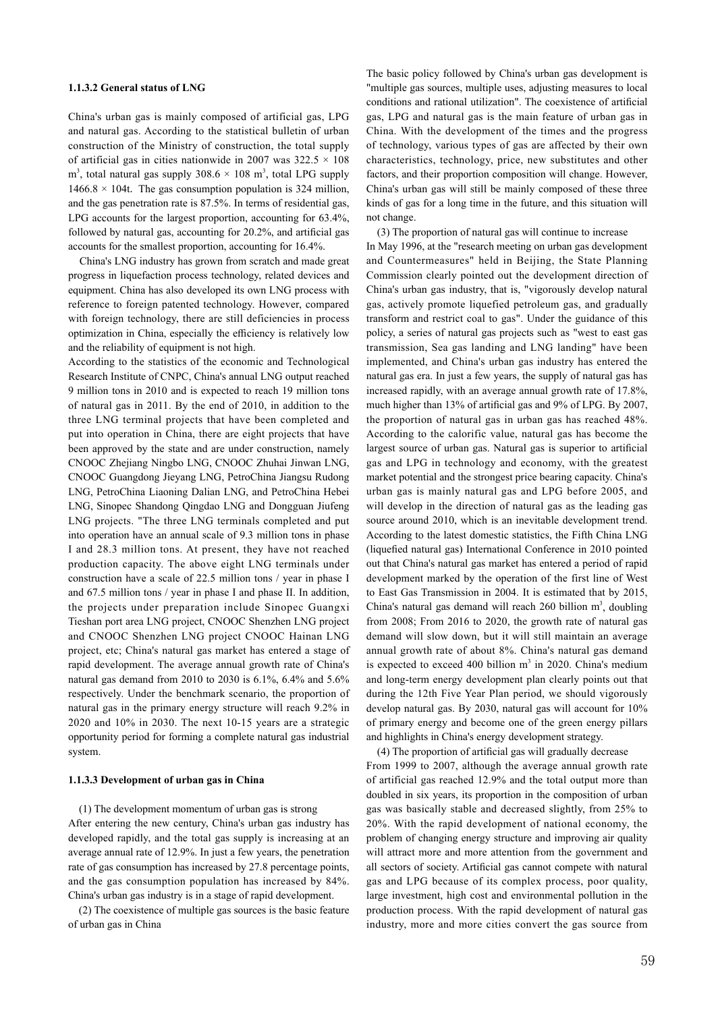### **1.1.3.2 General status of LNG**

China's urban gas is mainly composed of artificial gas, LPG and natural gas. According to the statistical bulletin of urban construction of the Ministry of construction, the total supply of artificial gas in cities nationwide in 2007 was  $322.5 \times 108$  $\text{m}^3$ , total natural gas supply 308.6  $\times$  108  $\text{m}^3$ , total LPG supply 1466.8  $\times$  104t. The gas consumption population is 324 million, and the gas penetration rate is 87.5%. In terms of residential gas, LPG accounts for the largest proportion, accounting for 63.4%, followed by natural gas, accounting for 20.2%, and artificial gas accounts for the smallest proportion, accounting for 16.4%.

 China's LNG industry has grown from scratch and made great progress in liquefaction process technology, related devices and equipment. China has also developed its own LNG process with reference to foreign patented technology. However, compared with foreign technology, there are still deficiencies in process optimization in China, especially the efficiency is relatively low and the reliability of equipment is not high.

According to the statistics of the economic and Technological Research Institute of CNPC, China's annual LNG output reached 9 million tons in 2010 and is expected to reach 19 million tons of natural gas in 2011. By the end of 2010, in addition to the three LNG terminal projects that have been completed and put into operation in China, there are eight projects that have been approved by the state and are under construction, namely CNOOC Zhejiang Ningbo LNG, CNOOC Zhuhai Jinwan LNG, CNOOC Guangdong Jieyang LNG, PetroChina Jiangsu Rudong LNG, PetroChina Liaoning Dalian LNG, and PetroChina Hebei LNG, Sinopec Shandong Qingdao LNG and Dongguan Jiufeng LNG projects. "The three LNG terminals completed and put into operation have an annual scale of 9.3 million tons in phase I and 28.3 million tons. At present, they have not reached production capacity. The above eight LNG terminals under construction have a scale of 22.5 million tons / year in phase I and 67.5 million tons / year in phase I and phase II. In addition, the projects under preparation include Sinopec Guangxi Tieshan port area LNG project, CNOOC Shenzhen LNG project and CNOOC Shenzhen LNG project CNOOC Hainan LNG project, etc; China's natural gas market has entered a stage of rapid development. The average annual growth rate of China's natural gas demand from 2010 to 2030 is 6.1%, 6.4% and 5.6% respectively. Under the benchmark scenario, the proportion of natural gas in the primary energy structure will reach 9.2% in 2020 and 10% in 2030. The next 10-15 years are a strategic opportunity period for forming a complete natural gas industrial system.

### **1.1.3.3 Development of urban gas in China**

 (1) The development momentum of urban gas is strong After entering the new century, China's urban gas industry has developed rapidly, and the total gas supply is increasing at an average annual rate of 12.9%. In just a few years, the penetration rate of gas consumption has increased by 27.8 percentage points, and the gas consumption population has increased by 84%. China's urban gas industry is in a stage of rapid development.

 (2) The coexistence of multiple gas sources is the basic feature of urban gas in China

The basic policy followed by China's urban gas development is "multiple gas sources, multiple uses, adjusting measures to local conditions and rational utilization". The coexistence of artificial gas, LPG and natural gas is the main feature of urban gas in China. With the development of the times and the progress of technology, various types of gas are affected by their own characteristics, technology, price, new substitutes and other factors, and their proportion composition will change. However, China's urban gas will still be mainly composed of these three kinds of gas for a long time in the future, and this situation will not change.

 (3) The proportion of natural gas will continue to increase In May 1996, at the "research meeting on urban gas development and Countermeasures" held in Beijing, the State Planning Commission clearly pointed out the development direction of China's urban gas industry, that is, "vigorously develop natural gas, actively promote liquefied petroleum gas, and gradually transform and restrict coal to gas". Under the guidance of this policy, a series of natural gas projects such as "west to east gas transmission, Sea gas landing and LNG landing" have been implemented, and China's urban gas industry has entered the natural gas era. In just a few years, the supply of natural gas has increased rapidly, with an average annual growth rate of 17.8%, much higher than 13% of artificial gas and 9% of LPG. By 2007, the proportion of natural gas in urban gas has reached 48%. According to the calorific value, natural gas has become the largest source of urban gas. Natural gas is superior to artificial gas and LPG in technology and economy, with the greatest market potential and the strongest price bearing capacity. China's urban gas is mainly natural gas and LPG before 2005, and will develop in the direction of natural gas as the leading gas source around 2010, which is an inevitable development trend. According to the latest domestic statistics, the Fifth China LNG (liquefied natural gas) International Conference in 2010 pointed out that China's natural gas market has entered a period of rapid development marked by the operation of the first line of West to East Gas Transmission in 2004. It is estimated that by 2015, China's natural gas demand will reach 260 billion  $m^3$ , doubling from 2008; From 2016 to 2020, the growth rate of natural gas demand will slow down, but it will still maintain an average annual growth rate of about 8%. China's natural gas demand is expected to exceed 400 billion  $m<sup>3</sup>$  in 2020. China's medium and long-term energy development plan clearly points out that during the 12th Five Year Plan period, we should vigorously develop natural gas. By 2030, natural gas will account for 10% of primary energy and become one of the green energy pillars and highlights in China's energy development strategy.

 (4) The proportion of artificial gas will gradually decrease From 1999 to 2007, although the average annual growth rate of artificial gas reached 12.9% and the total output more than doubled in six years, its proportion in the composition of urban gas was basically stable and decreased slightly, from 25% to 20%. With the rapid development of national economy, the problem of changing energy structure and improving air quality will attract more and more attention from the government and all sectors of society. Artificial gas cannot compete with natural gas and LPG because of its complex process, poor quality, large investment, high cost and environmental pollution in the production process. With the rapid development of natural gas industry, more and more cities convert the gas source from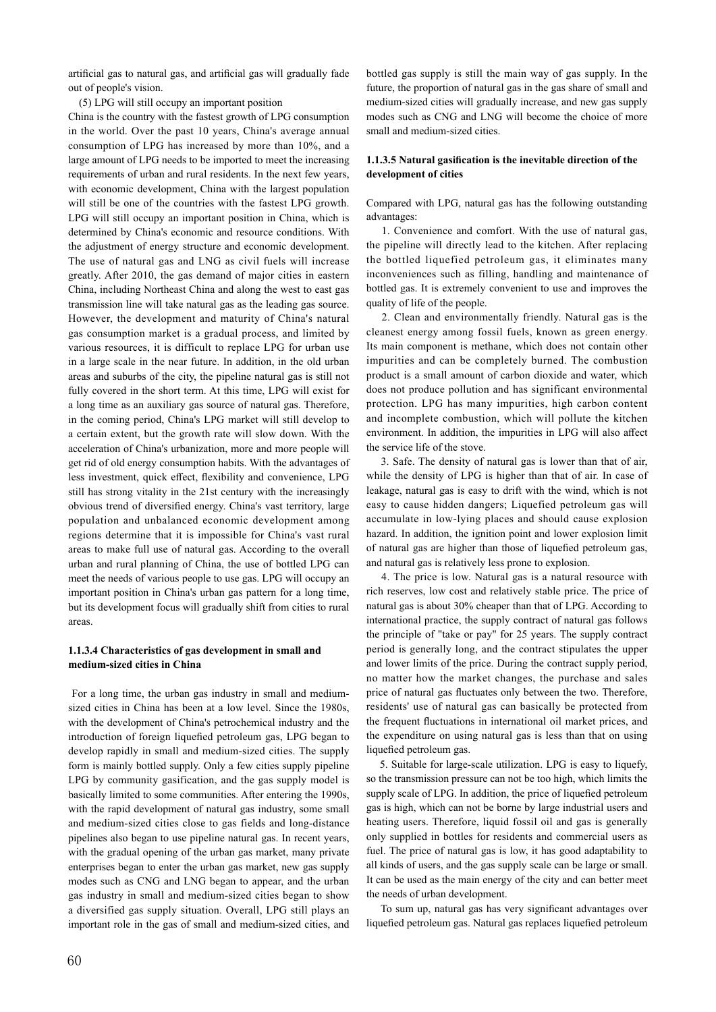artificial gas to natural gas, and artificial gas will gradually fade out of people's vision.

(5) LPG will still occupy an important position

China is the country with the fastest growth of LPG consumption in the world. Over the past 10 years, China's average annual consumption of LPG has increased by more than 10%, and a large amount of LPG needs to be imported to meet the increasing requirements of urban and rural residents. In the next few years, with economic development, China with the largest population will still be one of the countries with the fastest LPG growth. LPG will still occupy an important position in China, which is determined by China's economic and resource conditions. With the adjustment of energy structure and economic development. The use of natural gas and LNG as civil fuels will increase greatly. After 2010, the gas demand of major cities in eastern China, including Northeast China and along the west to east gas transmission line will take natural gas as the leading gas source. However, the development and maturity of China's natural gas consumption market is a gradual process, and limited by various resources, it is difficult to replace LPG for urban use in a large scale in the near future. In addition, in the old urban areas and suburbs of the city, the pipeline natural gas is still not fully covered in the short term. At this time, LPG will exist for a long time as an auxiliary gas source of natural gas. Therefore, in the coming period, China's LPG market will still develop to a certain extent, but the growth rate will slow down. With the acceleration of China's urbanization, more and more people will get rid of old energy consumption habits. With the advantages of less investment, quick effect, flexibility and convenience, LPG still has strong vitality in the 21st century with the increasingly obvious trend of diversified energy. China's vast territory, large population and unbalanced economic development among regions determine that it is impossible for China's vast rural areas to make full use of natural gas. According to the overall urban and rural planning of China, the use of bottled LPG can meet the needs of various people to use gas. LPG will occupy an important position in China's urban gas pattern for a long time, but its development focus will gradually shift from cities to rural areas.

## **1.1.3.4 Characteristics of gas development in small and medium-sized cities in China**

 For a long time, the urban gas industry in small and mediumsized cities in China has been at a low level. Since the 1980s, with the development of China's petrochemical industry and the introduction of foreign liquefied petroleum gas, LPG began to develop rapidly in small and medium-sized cities. The supply form is mainly bottled supply. Only a few cities supply pipeline LPG by community gasification, and the gas supply model is basically limited to some communities. After entering the 1990s, with the rapid development of natural gas industry, some small and medium-sized cities close to gas fields and long-distance pipelines also began to use pipeline natural gas. In recent years, with the gradual opening of the urban gas market, many private enterprises began to enter the urban gas market, new gas supply modes such as CNG and LNG began to appear, and the urban gas industry in small and medium-sized cities began to show a diversified gas supply situation. Overall, LPG still plays an important role in the gas of small and medium-sized cities, and bottled gas supply is still the main way of gas supply. In the future, the proportion of natural gas in the gas share of small and medium-sized cities will gradually increase, and new gas supply modes such as CNG and LNG will become the choice of more small and medium-sized cities.

### **1.1.3.5 Natural gasification is the inevitable direction of the development of cities**

Compared with LPG, natural gas has the following outstanding advantages:

 1. Convenience and comfort. With the use of natural gas, the pipeline will directly lead to the kitchen. After replacing the bottled liquefied petroleum gas, it eliminates many inconveniences such as filling, handling and maintenance of bottled gas. It is extremely convenient to use and improves the quality of life of the people.

 2. Clean and environmentally friendly. Natural gas is the cleanest energy among fossil fuels, known as green energy. Its main component is methane, which does not contain other impurities and can be completely burned. The combustion product is a small amount of carbon dioxide and water, which does not produce pollution and has significant environmental protection. LPG has many impurities, high carbon content and incomplete combustion, which will pollute the kitchen environment. In addition, the impurities in LPG will also affect the service life of the stove.

 3. Safe. The density of natural gas is lower than that of air, while the density of LPG is higher than that of air. In case of leakage, natural gas is easy to drift with the wind, which is not easy to cause hidden dangers; Liquefied petroleum gas will accumulate in low-lying places and should cause explosion hazard. In addition, the ignition point and lower explosion limit of natural gas are higher than those of liquefied petroleum gas, and natural gas is relatively less prone to explosion.

 4. The price is low. Natural gas is a natural resource with rich reserves, low cost and relatively stable price. The price of natural gas is about 30% cheaper than that of LPG. According to international practice, the supply contract of natural gas follows the principle of "take or pay" for 25 years. The supply contract period is generally long, and the contract stipulates the upper and lower limits of the price. During the contract supply period, no matter how the market changes, the purchase and sales price of natural gas fluctuates only between the two. Therefore, residents' use of natural gas can basically be protected from the frequent fluctuations in international oil market prices, and the expenditure on using natural gas is less than that on using liquefied petroleum gas.

 5. Suitable for large-scale utilization. LPG is easy to liquefy, so the transmission pressure can not be too high, which limits the supply scale of LPG. In addition, the price of liquefied petroleum gas is high, which can not be borne by large industrial users and heating users. Therefore, liquid fossil oil and gas is generally only supplied in bottles for residents and commercial users as fuel. The price of natural gas is low, it has good adaptability to all kinds of users, and the gas supply scale can be large or small. It can be used as the main energy of the city and can better meet the needs of urban development.

 To sum up, natural gas has very significant advantages over liquefied petroleum gas. Natural gas replaces liquefied petroleum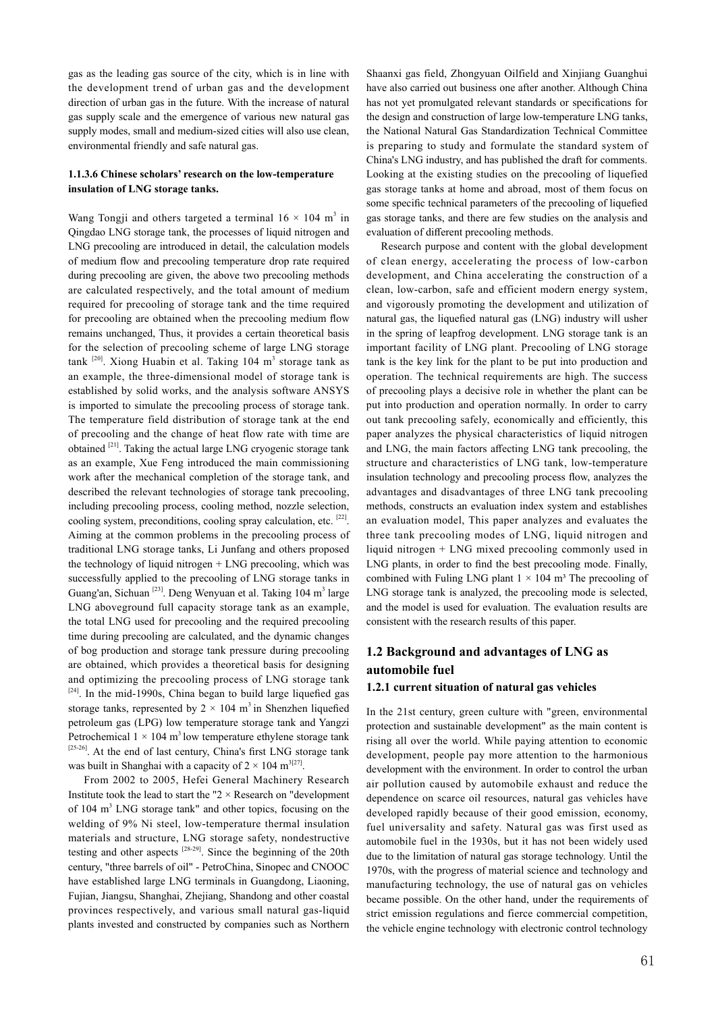gas as the leading gas source of the city, which is in line with the development trend of urban gas and the development direction of urban gas in the future. With the increase of natural gas supply scale and the emergence of various new natural gas supply modes, small and medium-sized cities will also use clean, environmental friendly and safe natural gas.

### **1.1.3.6 Chinese scholars' research on the low-temperature insulation of LNG storage tanks.**

Wang Tongji and others targeted a terminal  $16 \times 104$  m<sup>3</sup> in Qingdao LNG storage tank, the processes of liquid nitrogen and LNG precooling are introduced in detail, the calculation models of medium flow and precooling temperature drop rate required during precooling are given, the above two precooling methods are calculated respectively, and the total amount of medium required for precooling of storage tank and the time required for precooling are obtained when the precooling medium flow remains unchanged, Thus, it provides a certain theoretical basis for the selection of precooling scheme of large LNG storage tank <sup>[20]</sup>. Xiong Huabin et al. Taking 104 m<sup>3</sup> storage tank as an example, the three-dimensional model of storage tank is established by solid works, and the analysis software ANSYS is imported to simulate the precooling process of storage tank. The temperature field distribution of storage tank at the end of precooling and the change of heat flow rate with time are obtained  $[21]$ . Taking the actual large LNG cryogenic storage tank as an example, Xue Feng introduced the main commissioning work after the mechanical completion of the storage tank, and described the relevant technologies of storage tank precooling, including precooling process, cooling method, nozzle selection, cooling system, preconditions, cooling spray calculation, etc. [22]. Aiming at the common problems in the precooling process of traditional LNG storage tanks, Li Junfang and others proposed the technology of liquid nitrogen + LNG precooling, which was successfully applied to the precooling of LNG storage tanks in Guang'an, Sichuan <sup>[23]</sup>. Deng Wenyuan et al. Taking 104 m<sup>3</sup> large LNG aboveground full capacity storage tank as an example, the total LNG used for precooling and the required precooling time during precooling are calculated, and the dynamic changes of bog production and storage tank pressure during precooling are obtained, which provides a theoretical basis for designing and optimizing the precooling process of LNG storage tank [24]. In the mid-1990s, China began to build large liquefied gas storage tanks, represented by  $2 \times 104$  m<sup>3</sup> in Shenzhen liquefied petroleum gas (LPG) low temperature storage tank and Yangzi Petrochemical  $1 \times 104$  m<sup>3</sup> low temperature ethylene storage tank [25-26]. At the end of last century, China's first LNG storage tank was built in Shanghai with a capacity of  $2 \times 104$  m<sup>3[27]</sup>.

 From 2002 to 2005, Hefei General Machinery Research Institute took the lead to start the " $2 \times$  Research on "development" of 104 m<sup>3</sup> LNG storage tank" and other topics, focusing on the welding of 9% Ni steel, low-temperature thermal insulation materials and structure, LNG storage safety, nondestructive testing and other aspects [28-29]. Since the beginning of the 20th century, "three barrels of oil" - PetroChina, Sinopec and CNOOC have established large LNG terminals in Guangdong, Liaoning, Fujian, Jiangsu, Shanghai, Zhejiang, Shandong and other coastal provinces respectively, and various small natural gas-liquid plants invested and constructed by companies such as Northern

Shaanxi gas field, Zhongyuan Oilfield and Xinjiang Guanghui have also carried out business one after another. Although China has not yet promulgated relevant standards or specifications for the design and construction of large low-temperature LNG tanks, the National Natural Gas Standardization Technical Committee is preparing to study and formulate the standard system of China's LNG industry, and has published the draft for comments. Looking at the existing studies on the precooling of liquefied gas storage tanks at home and abroad, most of them focus on some specific technical parameters of the precooling of liquefied gas storage tanks, and there are few studies on the analysis and evaluation of different precooling methods.

 Research purpose and content with the global development of clean energy, accelerating the process of low-carbon development, and China accelerating the construction of a clean, low-carbon, safe and efficient modern energy system, and vigorously promoting the development and utilization of natural gas, the liquefied natural gas (LNG) industry will usher in the spring of leapfrog development. LNG storage tank is an important facility of LNG plant. Precooling of LNG storage tank is the key link for the plant to be put into production and operation. The technical requirements are high. The success of precooling plays a decisive role in whether the plant can be put into production and operation normally. In order to carry out tank precooling safely, economically and efficiently, this paper analyzes the physical characteristics of liquid nitrogen and LNG, the main factors affecting LNG tank precooling, the structure and characteristics of LNG tank, low-temperature insulation technology and precooling process flow, analyzes the advantages and disadvantages of three LNG tank precooling methods, constructs an evaluation index system and establishes an evaluation model, This paper analyzes and evaluates the three tank precooling modes of LNG, liquid nitrogen and liquid nitrogen + LNG mixed precooling commonly used in LNG plants, in order to find the best precooling mode. Finally, combined with Fuling LNG plant  $1 \times 104$  m<sup>3</sup> The precooling of LNG storage tank is analyzed, the precooling mode is selected, and the model is used for evaluation. The evaluation results are consistent with the research results of this paper.

## **1.2 Background and advantages of LNG as automobile fuel**

#### **1.2.1 current situation of natural gas vehicles**

In the 21st century, green culture with "green, environmental protection and sustainable development" as the main content is rising all over the world. While paying attention to economic development, people pay more attention to the harmonious development with the environment. In order to control the urban air pollution caused by automobile exhaust and reduce the dependence on scarce oil resources, natural gas vehicles have developed rapidly because of their good emission, economy, fuel universality and safety. Natural gas was first used as automobile fuel in the 1930s, but it has not been widely used due to the limitation of natural gas storage technology. Until the 1970s, with the progress of material science and technology and manufacturing technology, the use of natural gas on vehicles became possible. On the other hand, under the requirements of strict emission regulations and fierce commercial competition, the vehicle engine technology with electronic control technology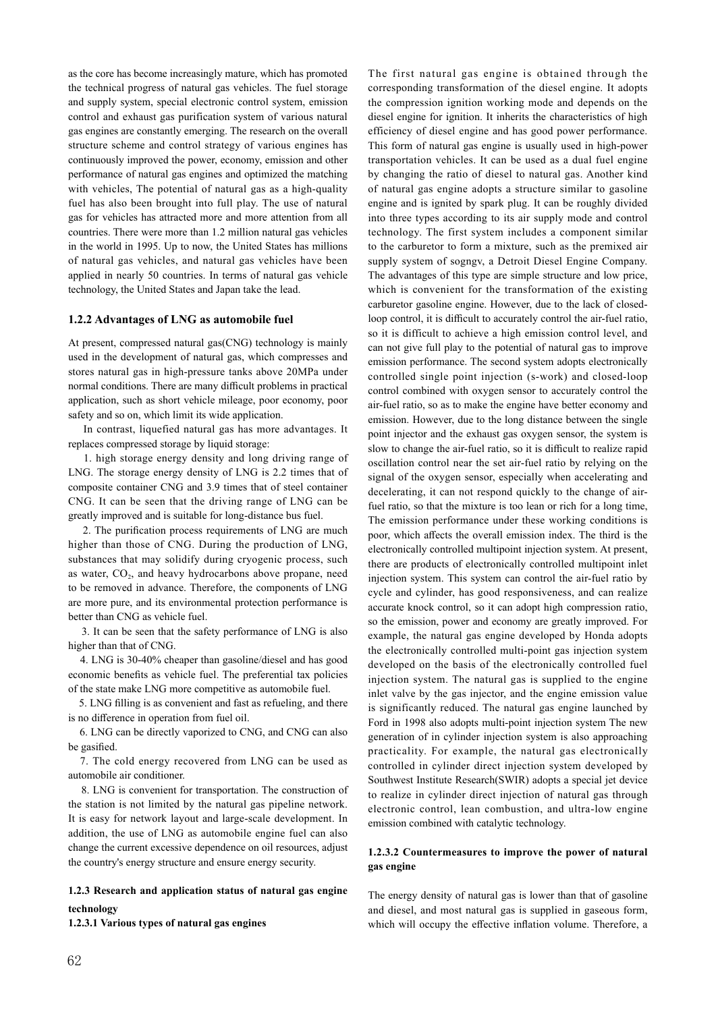as the core has become increasingly mature, which has promoted the technical progress of natural gas vehicles. The fuel storage and supply system, special electronic control system, emission control and exhaust gas purification system of various natural gas engines are constantly emerging. The research on the overall structure scheme and control strategy of various engines has continuously improved the power, economy, emission and other performance of natural gas engines and optimized the matching with vehicles, The potential of natural gas as a high-quality fuel has also been brought into full play. The use of natural gas for vehicles has attracted more and more attention from all countries. There were more than 1.2 million natural gas vehicles in the world in 1995. Up to now, the United States has millions of natural gas vehicles, and natural gas vehicles have been applied in nearly 50 countries. In terms of natural gas vehicle technology, the United States and Japan take the lead.

#### **1.2.2 Advantages of LNG as automobile fuel**

At present, compressed natural gas(CNG) technology is mainly used in the development of natural gas, which compresses and stores natural gas in high-pressure tanks above 20MPa under normal conditions. There are many difficult problems in practical application, such as short vehicle mileage, poor economy, poor safety and so on, which limit its wide application.

 In contrast, liquefied natural gas has more advantages. It replaces compressed storage by liquid storage:

 1. high storage energy density and long driving range of LNG. The storage energy density of LNG is 2.2 times that of composite container CNG and 3.9 times that of steel container CNG. It can be seen that the driving range of LNG can be greatly improved and is suitable for long-distance bus fuel.

 2. The purification process requirements of LNG are much higher than those of CNG. During the production of LNG, substances that may solidify during cryogenic process, such as water, CO<sub>2</sub>, and heavy hydrocarbons above propane, need to be removed in advance. Therefore, the components of LNG are more pure, and its environmental protection performance is better than CNG as vehicle fuel.

 3. It can be seen that the safety performance of LNG is also higher than that of CNG.

 4. LNG is 30-40% cheaper than gasoline/diesel and has good economic benefits as vehicle fuel. The preferential tax policies of the state make LNG more competitive as automobile fuel.

 5. LNG filling is as convenient and fast as refueling, and there is no difference in operation from fuel oil.

 6. LNG can be directly vaporized to CNG, and CNG can also be gasified.

 7. The cold energy recovered from LNG can be used as automobile air conditioner.

 8. LNG is convenient for transportation. The construction of the station is not limited by the natural gas pipeline network. It is easy for network layout and large-scale development. In addition, the use of LNG as automobile engine fuel can also change the current excessive dependence on oil resources, adjust the country's energy structure and ensure energy security.

## **1.2.3 Research and application status of natural gas engine technology**

**1.2.3.1 Various types of natural gas engines**

The first natural gas engine is obtained through the corresponding transformation of the diesel engine. It adopts the compression ignition working mode and depends on the diesel engine for ignition. It inherits the characteristics of high efficiency of diesel engine and has good power performance. This form of natural gas engine is usually used in high-power transportation vehicles. It can be used as a dual fuel engine by changing the ratio of diesel to natural gas. Another kind of natural gas engine adopts a structure similar to gasoline engine and is ignited by spark plug. It can be roughly divided into three types according to its air supply mode and control technology. The first system includes a component similar to the carburetor to form a mixture, such as the premixed air supply system of sogngv, a Detroit Diesel Engine Company. The advantages of this type are simple structure and low price, which is convenient for the transformation of the existing carburetor gasoline engine. However, due to the lack of closedloop control, it is difficult to accurately control the air-fuel ratio, so it is difficult to achieve a high emission control level, and can not give full play to the potential of natural gas to improve emission performance. The second system adopts electronically controlled single point injection (s-work) and closed-loop control combined with oxygen sensor to accurately control the air-fuel ratio, so as to make the engine have better economy and emission. However, due to the long distance between the single point injector and the exhaust gas oxygen sensor, the system is slow to change the air-fuel ratio, so it is difficult to realize rapid oscillation control near the set air-fuel ratio by relying on the signal of the oxygen sensor, especially when accelerating and decelerating, it can not respond quickly to the change of airfuel ratio, so that the mixture is too lean or rich for a long time, The emission performance under these working conditions is poor, which affects the overall emission index. The third is the electronically controlled multipoint injection system. At present, there are products of electronically controlled multipoint inlet injection system. This system can control the air-fuel ratio by cycle and cylinder, has good responsiveness, and can realize accurate knock control, so it can adopt high compression ratio, so the emission, power and economy are greatly improved. For example, the natural gas engine developed by Honda adopts the electronically controlled multi-point gas injection system developed on the basis of the electronically controlled fuel injection system. The natural gas is supplied to the engine inlet valve by the gas injector, and the engine emission value is significantly reduced. The natural gas engine launched by Ford in 1998 also adopts multi-point injection system The new generation of in cylinder injection system is also approaching practicality. For example, the natural gas electronically controlled in cylinder direct injection system developed by Southwest Institute Research(SWIR) adopts a special jet device to realize in cylinder direct injection of natural gas through electronic control, lean combustion, and ultra-low engine emission combined with catalytic technology.

### **1.2.3.2 Countermeasures to improve the power of natural gas engine**

The energy density of natural gas is lower than that of gasoline and diesel, and most natural gas is supplied in gaseous form, which will occupy the effective inflation volume. Therefore, a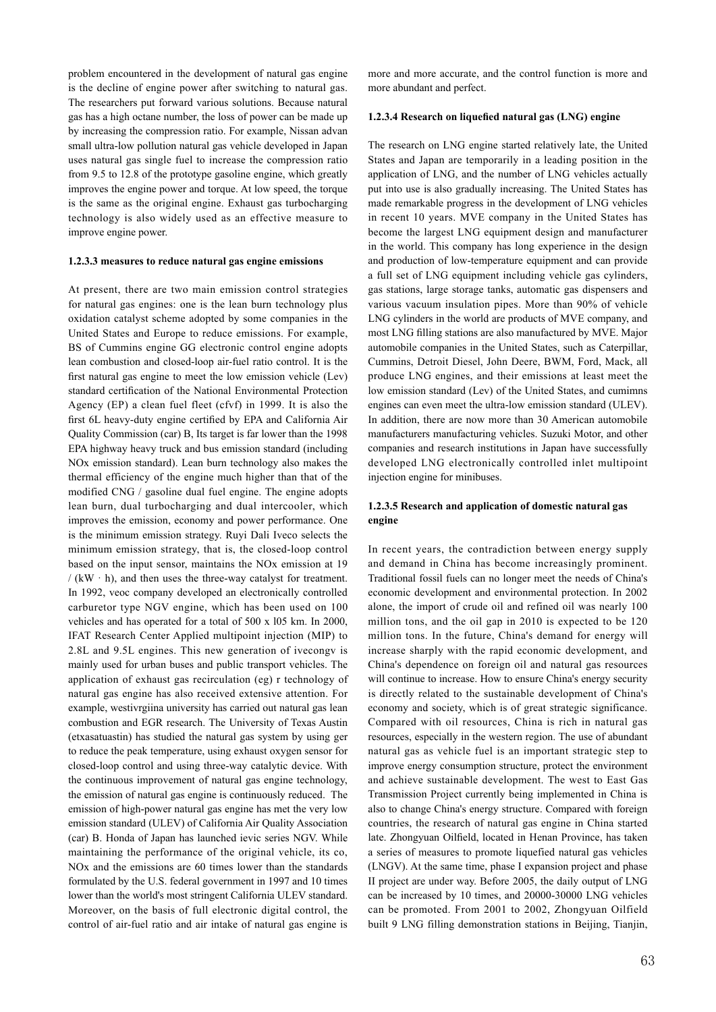problem encountered in the development of natural gas engine is the decline of engine power after switching to natural gas. The researchers put forward various solutions. Because natural gas has a high octane number, the loss of power can be made up by increasing the compression ratio. For example, Nissan advan small ultra-low pollution natural gas vehicle developed in Japan uses natural gas single fuel to increase the compression ratio from 9.5 to 12.8 of the prototype gasoline engine, which greatly improves the engine power and torque. At low speed, the torque is the same as the original engine. Exhaust gas turbocharging technology is also widely used as an effective measure to improve engine power.

#### **1.2.3.3 measures to reduce natural gas engine emissions**

At present, there are two main emission control strategies for natural gas engines: one is the lean burn technology plus oxidation catalyst scheme adopted by some companies in the United States and Europe to reduce emissions. For example, BS of Cummins engine GG electronic control engine adopts lean combustion and closed-loop air-fuel ratio control. It is the first natural gas engine to meet the low emission vehicle (Lev) standard certification of the National Environmental Protection Agency (EP) a clean fuel fleet (cfvf) in 1999. It is also the first 6L heavy-duty engine certified by EPA and California Air Quality Commission (car) B, Its target is far lower than the 1998 EPA highway heavy truck and bus emission standard (including NOx emission standard). Lean burn technology also makes the thermal efficiency of the engine much higher than that of the modified CNG / gasoline dual fuel engine. The engine adopts lean burn, dual turbocharging and dual intercooler, which improves the emission, economy and power performance. One is the minimum emission strategy. Ruyi Dali Iveco selects the minimum emission strategy, that is, the closed-loop control based on the input sensor, maintains the NOx emission at 19  $/(kW \cdot h)$ , and then uses the three-way catalyst for treatment. In 1992, veoc company developed an electronically controlled carburetor type NGV engine, which has been used on 100 vehicles and has operated for a total of 500 x l05 km. In 2000, IFAT Research Center Applied multipoint injection (MIP) to 2.8L and 9.5L engines. This new generation of ivecongv is mainly used for urban buses and public transport vehicles. The application of exhaust gas recirculation (eg) r technology of natural gas engine has also received extensive attention. For example, westivrgiina university has carried out natural gas lean combustion and EGR research. The University of Texas Austin (etxasatuastin) has studied the natural gas system by using ger to reduce the peak temperature, using exhaust oxygen sensor for closed-loop control and using three-way catalytic device. With the continuous improvement of natural gas engine technology, the emission of natural gas engine is continuously reduced. The emission of high-power natural gas engine has met the very low emission standard (ULEV) of California Air Quality Association (car) B. Honda of Japan has launched ievic series NGV. While maintaining the performance of the original vehicle, its co, NOx and the emissions are 60 times lower than the standards formulated by the U.S. federal government in 1997 and 10 times lower than the world's most stringent California ULEV standard. Moreover, on the basis of full electronic digital control, the control of air-fuel ratio and air intake of natural gas engine is

more and more accurate, and the control function is more and more abundant and perfect.

#### **1.2.3.4 Research on liquefied natural gas (LNG) engine**

The research on LNG engine started relatively late, the United States and Japan are temporarily in a leading position in the application of LNG, and the number of LNG vehicles actually put into use is also gradually increasing. The United States has made remarkable progress in the development of LNG vehicles in recent 10 years. MVE company in the United States has become the largest LNG equipment design and manufacturer in the world. This company has long experience in the design and production of low-temperature equipment and can provide a full set of LNG equipment including vehicle gas cylinders, gas stations, large storage tanks, automatic gas dispensers and various vacuum insulation pipes. More than 90% of vehicle LNG cylinders in the world are products of MVE company, and most LNG filling stations are also manufactured by MVE. Major automobile companies in the United States, such as Caterpillar, Cummins, Detroit Diesel, John Deere, BWM, Ford, Mack, all produce LNG engines, and their emissions at least meet the low emission standard (Lev) of the United States, and cumimns engines can even meet the ultra-low emission standard (ULEV). In addition, there are now more than 30 American automobile manufacturers manufacturing vehicles. Suzuki Motor, and other companies and research institutions in Japan have successfully developed LNG electronically controlled inlet multipoint injection engine for minibuses.

## **1.2.3.5 Research and application of domestic natural gas engine**

In recent years, the contradiction between energy supply and demand in China has become increasingly prominent. Traditional fossil fuels can no longer meet the needs of China's economic development and environmental protection. In 2002 alone, the import of crude oil and refined oil was nearly 100 million tons, and the oil gap in 2010 is expected to be 120 million tons. In the future, China's demand for energy will increase sharply with the rapid economic development, and China's dependence on foreign oil and natural gas resources will continue to increase. How to ensure China's energy security is directly related to the sustainable development of China's economy and society, which is of great strategic significance. Compared with oil resources, China is rich in natural gas resources, especially in the western region. The use of abundant natural gas as vehicle fuel is an important strategic step to improve energy consumption structure, protect the environment and achieve sustainable development. The west to East Gas Transmission Project currently being implemented in China is also to change China's energy structure. Compared with foreign countries, the research of natural gas engine in China started late. Zhongyuan Oilfield, located in Henan Province, has taken a series of measures to promote liquefied natural gas vehicles (LNGV). At the same time, phase I expansion project and phase II project are under way. Before 2005, the daily output of LNG can be increased by 10 times, and 20000-30000 LNG vehicles can be promoted. From 2001 to 2002, Zhongyuan Oilfield built 9 LNG filling demonstration stations in Beijing, Tianjin,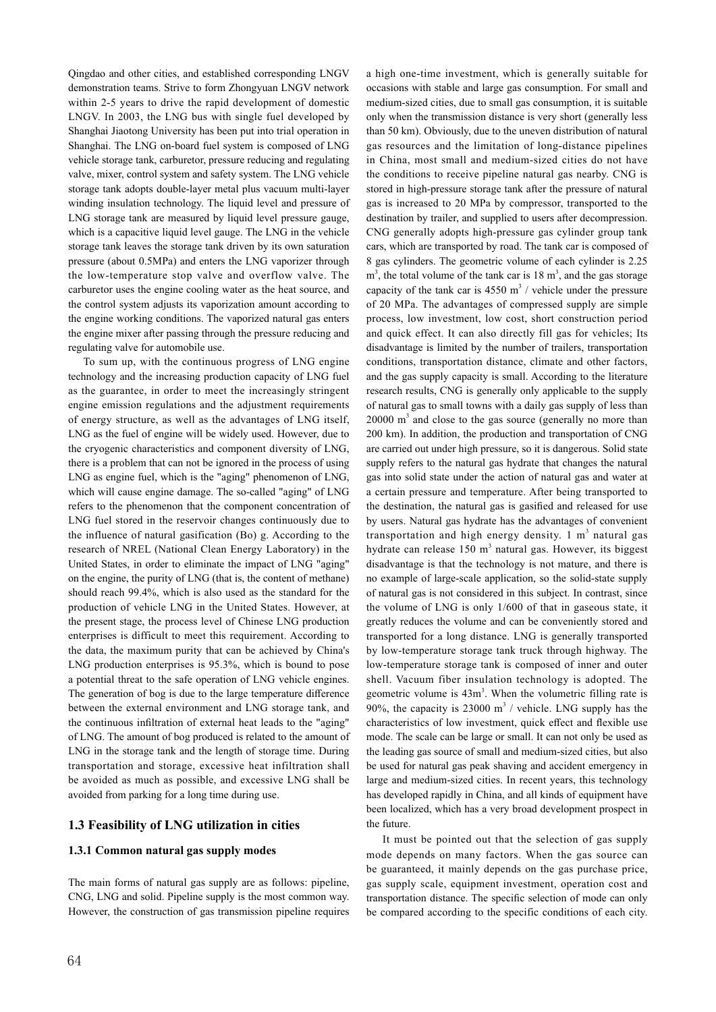Qingdao and other cities, and established corresponding LNGV demonstration teams. Strive to form Zhongyuan LNGV network within 2-5 years to drive the rapid development of domestic LNGV. In 2003, the LNG bus with single fuel developed by Shanghai Jiaotong University has been put into trial operation in Shanghai. The LNG on-board fuel system is composed of LNG vehicle storage tank, carburetor, pressure reducing and regulating valve, mixer, control system and safety system. The LNG vehicle storage tank adopts double-layer metal plus vacuum multi-layer winding insulation technology. The liquid level and pressure of LNG storage tank are measured by liquid level pressure gauge, which is a capacitive liquid level gauge. The LNG in the vehicle storage tank leaves the storage tank driven by its own saturation pressure (about 0.5MPa) and enters the LNG vaporizer through the low-temperature stop valve and overflow valve. The carburetor uses the engine cooling water as the heat source, and the control system adjusts its vaporization amount according to the engine working conditions. The vaporized natural gas enters the engine mixer after passing through the pressure reducing and regulating valve for automobile use.

 To sum up, with the continuous progress of LNG engine technology and the increasing production capacity of LNG fuel as the guarantee, in order to meet the increasingly stringent engine emission regulations and the adjustment requirements of energy structure, as well as the advantages of LNG itself, LNG as the fuel of engine will be widely used. However, due to the cryogenic characteristics and component diversity of LNG, there is a problem that can not be ignored in the process of using LNG as engine fuel, which is the "aging" phenomenon of LNG, which will cause engine damage. The so-called "aging" of LNG refers to the phenomenon that the component concentration of LNG fuel stored in the reservoir changes continuously due to the influence of natural gasification (Bo) g. According to the research of NREL (National Clean Energy Laboratory) in the United States, in order to eliminate the impact of LNG "aging" on the engine, the purity of LNG (that is, the content of methane) should reach 99.4%, which is also used as the standard for the production of vehicle LNG in the United States. However, at the present stage, the process level of Chinese LNG production enterprises is difficult to meet this requirement. According to the data, the maximum purity that can be achieved by China's LNG production enterprises is 95.3%, which is bound to pose a potential threat to the safe operation of LNG vehicle engines. The generation of bog is due to the large temperature difference between the external environment and LNG storage tank, and the continuous infiltration of external heat leads to the "aging" of LNG. The amount of bog produced is related to the amount of LNG in the storage tank and the length of storage time. During transportation and storage, excessive heat infiltration shall be avoided as much as possible, and excessive LNG shall be avoided from parking for a long time during use.

## **1.3 Feasibility of LNG utilization in cities**

### **1.3.1 Common natural gas supply modes**

The main forms of natural gas supply are as follows: pipeline, CNG, LNG and solid. Pipeline supply is the most common way. However, the construction of gas transmission pipeline requires

64

a high one-time investment, which is generally suitable for occasions with stable and large gas consumption. For small and medium-sized cities, due to small gas consumption, it is suitable only when the transmission distance is very short (generally less than 50 km). Obviously, due to the uneven distribution of natural gas resources and the limitation of long-distance pipelines in China, most small and medium-sized cities do not have the conditions to receive pipeline natural gas nearby. CNG is stored in high-pressure storage tank after the pressure of natural gas is increased to 20 MPa by compressor, transported to the destination by trailer, and supplied to users after decompression. CNG generally adopts high-pressure gas cylinder group tank cars, which are transported by road. The tank car is composed of 8 gas cylinders. The geometric volume of each cylinder is 2.25  $m<sup>3</sup>$ , the total volume of the tank car is 18  $m<sup>3</sup>$ , and the gas storage capacity of the tank car is  $4550 \text{ m}^3$  / vehicle under the pressure of 20 MPa. The advantages of compressed supply are simple process, low investment, low cost, short construction period and quick effect. It can also directly fill gas for vehicles; Its disadvantage is limited by the number of trailers, transportation conditions, transportation distance, climate and other factors, and the gas supply capacity is small. According to the literature research results, CNG is generally only applicable to the supply of natural gas to small towns with a daily gas supply of less than  $20000 \text{ m}^3$  and close to the gas source (generally no more than 200 km). In addition, the production and transportation of CNG are carried out under high pressure, so it is dangerous. Solid state supply refers to the natural gas hydrate that changes the natural gas into solid state under the action of natural gas and water at a certain pressure and temperature. After being transported to the destination, the natural gas is gasified and released for use by users. Natural gas hydrate has the advantages of convenient transportation and high energy density.  $1 \text{ m}^3$  natural gas hydrate can release  $150 \text{ m}^3$  natural gas. However, its biggest disadvantage is that the technology is not mature, and there is no example of large-scale application, so the solid-state supply of natural gas is not considered in this subject. In contrast, since the volume of LNG is only 1/600 of that in gaseous state, it greatly reduces the volume and can be conveniently stored and transported for a long distance. LNG is generally transported by low-temperature storage tank truck through highway. The low-temperature storage tank is composed of inner and outer shell. Vacuum fiber insulation technology is adopted. The geometric volume is  $43m^3$ . When the volumetric filling rate is 90%, the capacity is  $23000 \text{ m}^3$  / vehicle. LNG supply has the characteristics of low investment, quick effect and flexible use mode. The scale can be large or small. It can not only be used as the leading gas source of small and medium-sized cities, but also be used for natural gas peak shaving and accident emergency in large and medium-sized cities. In recent years, this technology has developed rapidly in China, and all kinds of equipment have been localized, which has a very broad development prospect in the future.

 It must be pointed out that the selection of gas supply mode depends on many factors. When the gas source can be guaranteed, it mainly depends on the gas purchase price, gas supply scale, equipment investment, operation cost and transportation distance. The specific selection of mode can only be compared according to the specific conditions of each city.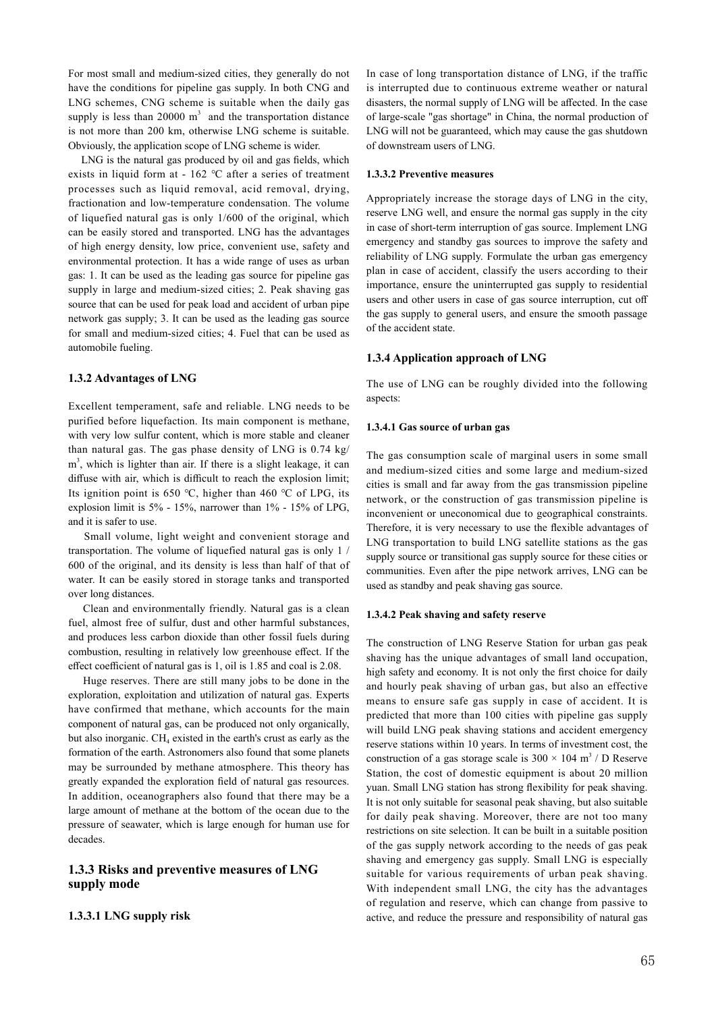For most small and medium-sized cities, they generally do not have the conditions for pipeline gas supply. In both CNG and LNG schemes, CNG scheme is suitable when the daily gas supply is less than 20000  $m<sup>3</sup>$  and the transportation distance is not more than 200 km, otherwise LNG scheme is suitable. Obviously, the application scope of LNG scheme is wider.

 LNG is the natural gas produced by oil and gas fields, which exists in liquid form at - 162 ℃ after a series of treatment processes such as liquid removal, acid removal, drying, fractionation and low-temperature condensation. The volume of liquefied natural gas is only 1/600 of the original, which can be easily stored and transported. LNG has the advantages of high energy density, low price, convenient use, safety and environmental protection. It has a wide range of uses as urban gas: 1. It can be used as the leading gas source for pipeline gas supply in large and medium-sized cities; 2. Peak shaving gas source that can be used for peak load and accident of urban pipe network gas supply; 3. It can be used as the leading gas source for small and medium-sized cities; 4. Fuel that can be used as automobile fueling.

#### **1.3.2 Advantages of LNG**

Excellent temperament, safe and reliable. LNG needs to be purified before liquefaction. Its main component is methane, with very low sulfur content, which is more stable and cleaner than natural gas. The gas phase density of LNG is 0.74 kg/ m<sup>3</sup>, which is lighter than air. If there is a slight leakage, it can diffuse with air, which is difficult to reach the explosion limit; Its ignition point is 650 ℃, higher than 460 ℃ of LPG, its explosion limit is 5% - 15%, narrower than 1% - 15% of LPG, and it is safer to use.

 Small volume, light weight and convenient storage and transportation. The volume of liquefied natural gas is only 1 / 600 of the original, and its density is less than half of that of water. It can be easily stored in storage tanks and transported over long distances.

 Clean and environmentally friendly. Natural gas is a clean fuel, almost free of sulfur, dust and other harmful substances, and produces less carbon dioxide than other fossil fuels during combustion, resulting in relatively low greenhouse effect. If the effect coefficient of natural gas is 1, oil is 1.85 and coal is 2.08.

 Huge reserves. There are still many jobs to be done in the exploration, exploitation and utilization of natural gas. Experts have confirmed that methane, which accounts for the main component of natural gas, can be produced not only organically, but also inorganic.  $CH<sub>4</sub>$  existed in the earth's crust as early as the formation of the earth. Astronomers also found that some planets may be surrounded by methane atmosphere. This theory has greatly expanded the exploration field of natural gas resources. In addition, oceanographers also found that there may be a large amount of methane at the bottom of the ocean due to the pressure of seawater, which is large enough for human use for decades.

## **1.3.3 Risks and preventive measures of LNG supply mode**

### **1.3.3.1 LNG supply risk**

In case of long transportation distance of LNG, if the traffic is interrupted due to continuous extreme weather or natural disasters, the normal supply of LNG will be affected. In the case of large-scale "gas shortage" in China, the normal production of LNG will not be guaranteed, which may cause the gas shutdown of downstream users of LNG.

#### **1.3.3.2 Preventive measures**

Appropriately increase the storage days of LNG in the city, reserve LNG well, and ensure the normal gas supply in the city in case of short-term interruption of gas source. Implement LNG emergency and standby gas sources to improve the safety and reliability of LNG supply. Formulate the urban gas emergency plan in case of accident, classify the users according to their importance, ensure the uninterrupted gas supply to residential users and other users in case of gas source interruption, cut off the gas supply to general users, and ensure the smooth passage of the accident state.

### **1.3.4 Application approach of LNG**

The use of LNG can be roughly divided into the following aspects:

#### **1.3.4.1 Gas source of urban gas**

The gas consumption scale of marginal users in some small and medium-sized cities and some large and medium-sized cities is small and far away from the gas transmission pipeline network, or the construction of gas transmission pipeline is inconvenient or uneconomical due to geographical constraints. Therefore, it is very necessary to use the flexible advantages of LNG transportation to build LNG satellite stations as the gas supply source or transitional gas supply source for these cities or communities. Even after the pipe network arrives, LNG can be used as standby and peak shaving gas source.

#### **1.3.4.2 Peak shaving and safety reserve**

The construction of LNG Reserve Station for urban gas peak shaving has the unique advantages of small land occupation, high safety and economy. It is not only the first choice for daily and hourly peak shaving of urban gas, but also an effective means to ensure safe gas supply in case of accident. It is predicted that more than 100 cities with pipeline gas supply will build LNG peak shaving stations and accident emergency reserve stations within 10 years. In terms of investment cost, the construction of a gas storage scale is  $300 \times 104$  m<sup>3</sup> / D Reserve Station, the cost of domestic equipment is about 20 million yuan. Small LNG station has strong flexibility for peak shaving. It is not only suitable for seasonal peak shaving, but also suitable for daily peak shaving. Moreover, there are not too many restrictions on site selection. It can be built in a suitable position of the gas supply network according to the needs of gas peak shaving and emergency gas supply. Small LNG is especially suitable for various requirements of urban peak shaving. With independent small LNG, the city has the advantages of regulation and reserve, which can change from passive to active, and reduce the pressure and responsibility of natural gas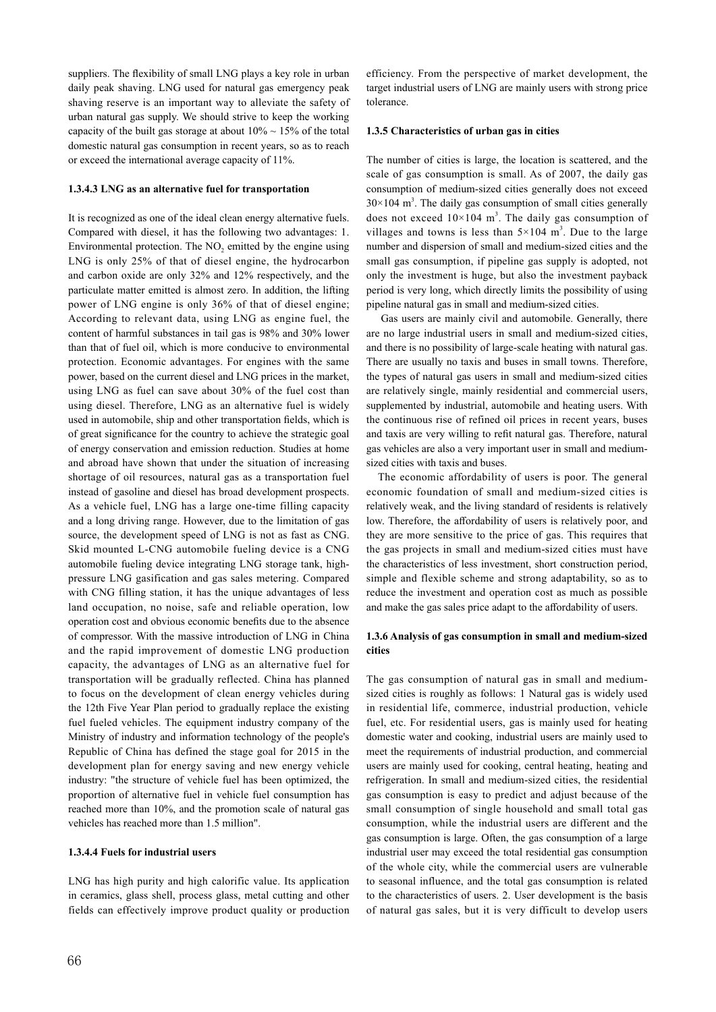suppliers. The flexibility of small LNG plays a key role in urban daily peak shaving. LNG used for natural gas emergency peak shaving reserve is an important way to alleviate the safety of urban natural gas supply. We should strive to keep the working capacity of the built gas storage at about  $10\% \sim 15\%$  of the total domestic natural gas consumption in recent years, so as to reach or exceed the international average capacity of 11%.

#### **1.3.4.3 LNG as an alternative fuel for transportation**

It is recognized as one of the ideal clean energy alternative fuels. Compared with diesel, it has the following two advantages: 1. Environmental protection. The  $NO<sub>2</sub>$  emitted by the engine using LNG is only 25% of that of diesel engine, the hydrocarbon and carbon oxide are only 32% and 12% respectively, and the particulate matter emitted is almost zero. In addition, the lifting power of LNG engine is only 36% of that of diesel engine; According to relevant data, using LNG as engine fuel, the content of harmful substances in tail gas is 98% and 30% lower than that of fuel oil, which is more conducive to environmental protection. Economic advantages. For engines with the same power, based on the current diesel and LNG prices in the market, using LNG as fuel can save about 30% of the fuel cost than using diesel. Therefore, LNG as an alternative fuel is widely used in automobile, ship and other transportation fields, which is of great significance for the country to achieve the strategic goal of energy conservation and emission reduction. Studies at home and abroad have shown that under the situation of increasing shortage of oil resources, natural gas as a transportation fuel instead of gasoline and diesel has broad development prospects. As a vehicle fuel, LNG has a large one-time filling capacity and a long driving range. However, due to the limitation of gas source, the development speed of LNG is not as fast as CNG. Skid mounted L-CNG automobile fueling device is a CNG automobile fueling device integrating LNG storage tank, highpressure LNG gasification and gas sales metering. Compared with CNG filling station, it has the unique advantages of less land occupation, no noise, safe and reliable operation, low operation cost and obvious economic benefits due to the absence of compressor. With the massive introduction of LNG in China and the rapid improvement of domestic LNG production capacity, the advantages of LNG as an alternative fuel for transportation will be gradually reflected. China has planned to focus on the development of clean energy vehicles during the 12th Five Year Plan period to gradually replace the existing fuel fueled vehicles. The equipment industry company of the Ministry of industry and information technology of the people's Republic of China has defined the stage goal for 2015 in the development plan for energy saving and new energy vehicle industry: "the structure of vehicle fuel has been optimized, the proportion of alternative fuel in vehicle fuel consumption has reached more than 10%, and the promotion scale of natural gas vehicles has reached more than 1.5 million".

### **1.3.4.4 Fuels for industrial users**

LNG has high purity and high calorific value. Its application in ceramics, glass shell, process glass, metal cutting and other fields can effectively improve product quality or production efficiency. From the perspective of market development, the target industrial users of LNG are mainly users with strong price tolerance.

#### **1.3.5 Characteristics of urban gas in cities**

The number of cities is large, the location is scattered, and the scale of gas consumption is small. As of 2007, the daily gas consumption of medium-sized cities generally does not exceed  $30\times104$  m<sup>3</sup>. The daily gas consumption of small cities generally does not exceed  $10 \times 104$  m<sup>3</sup>. The daily gas consumption of villages and towns is less than  $5 \times 104$  m<sup>3</sup>. Due to the large number and dispersion of small and medium-sized cities and the small gas consumption, if pipeline gas supply is adopted, not only the investment is huge, but also the investment payback period is very long, which directly limits the possibility of using pipeline natural gas in small and medium-sized cities.

 Gas users are mainly civil and automobile. Generally, there are no large industrial users in small and medium-sized cities, and there is no possibility of large-scale heating with natural gas. There are usually no taxis and buses in small towns. Therefore, the types of natural gas users in small and medium-sized cities are relatively single, mainly residential and commercial users, supplemented by industrial, automobile and heating users. With the continuous rise of refined oil prices in recent years, buses and taxis are very willing to refit natural gas. Therefore, natural gas vehicles are also a very important user in small and mediumsized cities with taxis and buses.

 The economic affordability of users is poor. The general economic foundation of small and medium-sized cities is relatively weak, and the living standard of residents is relatively low. Therefore, the affordability of users is relatively poor, and they are more sensitive to the price of gas. This requires that the gas projects in small and medium-sized cities must have the characteristics of less investment, short construction period, simple and flexible scheme and strong adaptability, so as to reduce the investment and operation cost as much as possible and make the gas sales price adapt to the affordability of users.

### **1.3.6 Analysis of gas consumption in small and medium-sized cities**

The gas consumption of natural gas in small and mediumsized cities is roughly as follows: 1 Natural gas is widely used in residential life, commerce, industrial production, vehicle fuel, etc. For residential users, gas is mainly used for heating domestic water and cooking, industrial users are mainly used to meet the requirements of industrial production, and commercial users are mainly used for cooking, central heating, heating and refrigeration. In small and medium-sized cities, the residential gas consumption is easy to predict and adjust because of the small consumption of single household and small total gas consumption, while the industrial users are different and the gas consumption is large. Often, the gas consumption of a large industrial user may exceed the total residential gas consumption of the whole city, while the commercial users are vulnerable to seasonal influence, and the total gas consumption is related to the characteristics of users. 2. User development is the basis of natural gas sales, but it is very difficult to develop users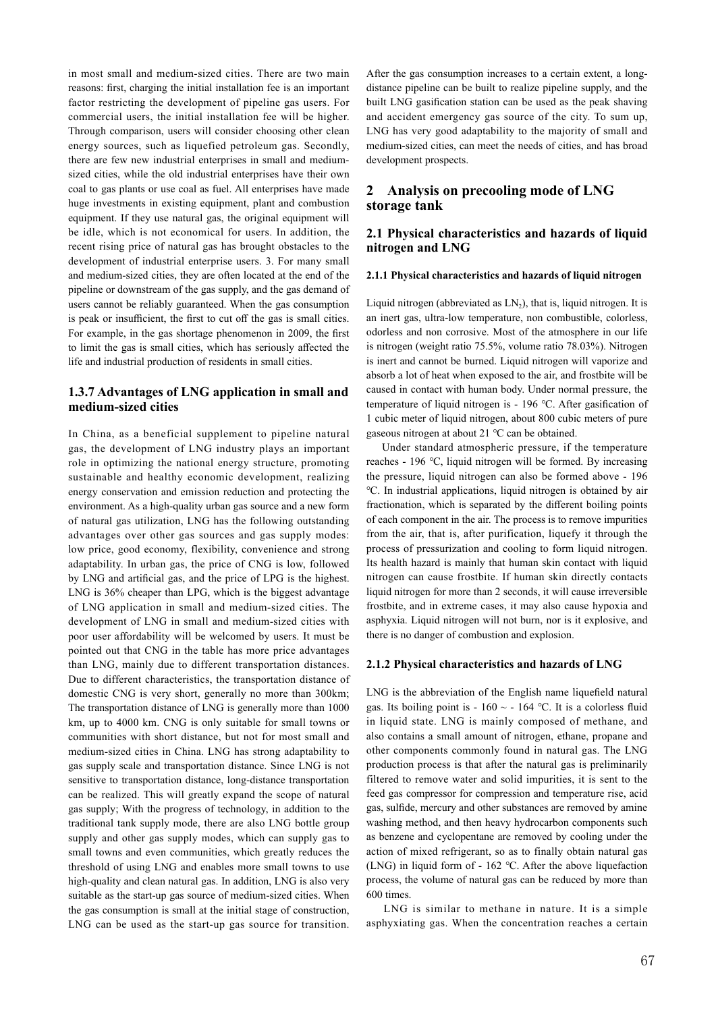in most small and medium-sized cities. There are two main reasons: first, charging the initial installation fee is an important factor restricting the development of pipeline gas users. For commercial users, the initial installation fee will be higher. Through comparison, users will consider choosing other clean energy sources, such as liquefied petroleum gas. Secondly, there are few new industrial enterprises in small and mediumsized cities, while the old industrial enterprises have their own coal to gas plants or use coal as fuel. All enterprises have made huge investments in existing equipment, plant and combustion equipment. If they use natural gas, the original equipment will be idle, which is not economical for users. In addition, the recent rising price of natural gas has brought obstacles to the development of industrial enterprise users. 3. For many small and medium-sized cities, they are often located at the end of the pipeline or downstream of the gas supply, and the gas demand of users cannot be reliably guaranteed. When the gas consumption is peak or insufficient, the first to cut off the gas is small cities. For example, in the gas shortage phenomenon in 2009, the first to limit the gas is small cities, which has seriously affected the life and industrial production of residents in small cities.

## **1.3.7 Advantages of LNG application in small and medium-sized cities**

In China, as a beneficial supplement to pipeline natural gas, the development of LNG industry plays an important role in optimizing the national energy structure, promoting sustainable and healthy economic development, realizing energy conservation and emission reduction and protecting the environment. As a high-quality urban gas source and a new form of natural gas utilization, LNG has the following outstanding advantages over other gas sources and gas supply modes: low price, good economy, flexibility, convenience and strong adaptability. In urban gas, the price of CNG is low, followed by LNG and artificial gas, and the price of LPG is the highest. LNG is 36% cheaper than LPG, which is the biggest advantage of LNG application in small and medium-sized cities. The development of LNG in small and medium-sized cities with poor user affordability will be welcomed by users. It must be pointed out that CNG in the table has more price advantages than LNG, mainly due to different transportation distances. Due to different characteristics, the transportation distance of domestic CNG is very short, generally no more than 300km; The transportation distance of LNG is generally more than 1000 km, up to 4000 km. CNG is only suitable for small towns or communities with short distance, but not for most small and medium-sized cities in China. LNG has strong adaptability to gas supply scale and transportation distance. Since LNG is not sensitive to transportation distance, long-distance transportation can be realized. This will greatly expand the scope of natural gas supply; With the progress of technology, in addition to the traditional tank supply mode, there are also LNG bottle group supply and other gas supply modes, which can supply gas to small towns and even communities, which greatly reduces the threshold of using LNG and enables more small towns to use high-quality and clean natural gas. In addition, LNG is also very suitable as the start-up gas source of medium-sized cities. When the gas consumption is small at the initial stage of construction, LNG can be used as the start-up gas source for transition.

After the gas consumption increases to a certain extent, a longdistance pipeline can be built to realize pipeline supply, and the built LNG gasification station can be used as the peak shaving and accident emergency gas source of the city. To sum up, LNG has very good adaptability to the majority of small and medium-sized cities, can meet the needs of cities, and has broad development prospects.

## **2 Analysis on precooling mode of LNG storage tank**

## **2.1 Physical characteristics and hazards of liquid nitrogen and LNG**

#### **2.1.1 Physical characteristics and hazards of liquid nitrogen**

Liquid nitrogen (abbreviated as  $LN<sub>2</sub>$ ), that is, liquid nitrogen. It is an inert gas, ultra-low temperature, non combustible, colorless, odorless and non corrosive. Most of the atmosphere in our life is nitrogen (weight ratio 75.5%, volume ratio 78.03%). Nitrogen is inert and cannot be burned. Liquid nitrogen will vaporize and absorb a lot of heat when exposed to the air, and frostbite will be caused in contact with human body. Under normal pressure, the temperature of liquid nitrogen is - 196 ℃. After gasification of 1 cubic meter of liquid nitrogen, about 800 cubic meters of pure gaseous nitrogen at about 21 ℃ can be obtained.

 Under standard atmospheric pressure, if the temperature reaches - 196 ℃, liquid nitrogen will be formed. By increasing the pressure, liquid nitrogen can also be formed above - 196 ℃. In industrial applications, liquid nitrogen is obtained by air fractionation, which is separated by the different boiling points of each component in the air. The process is to remove impurities from the air, that is, after purification, liquefy it through the process of pressurization and cooling to form liquid nitrogen. Its health hazard is mainly that human skin contact with liquid nitrogen can cause frostbite. If human skin directly contacts liquid nitrogen for more than 2 seconds, it will cause irreversible frostbite, and in extreme cases, it may also cause hypoxia and asphyxia. Liquid nitrogen will not burn, nor is it explosive, and there is no danger of combustion and explosion.

#### **2.1.2 Physical characteristics and hazards of LNG**

LNG is the abbreviation of the English name liquefield natural gas. Its boiling point is - 160  $\sim$  - 164 °C. It is a colorless fluid in liquid state. LNG is mainly composed of methane, and also contains a small amount of nitrogen, ethane, propane and other components commonly found in natural gas. The LNG production process is that after the natural gas is preliminarily filtered to remove water and solid impurities, it is sent to the feed gas compressor for compression and temperature rise, acid gas, sulfide, mercury and other substances are removed by amine washing method, and then heavy hydrocarbon components such as benzene and cyclopentane are removed by cooling under the action of mixed refrigerant, so as to finally obtain natural gas (LNG) in liquid form of - 162 ℃. After the above liquefaction process, the volume of natural gas can be reduced by more than 600 times.

 LNG is similar to methane in nature. It is a simple asphyxiating gas. When the concentration reaches a certain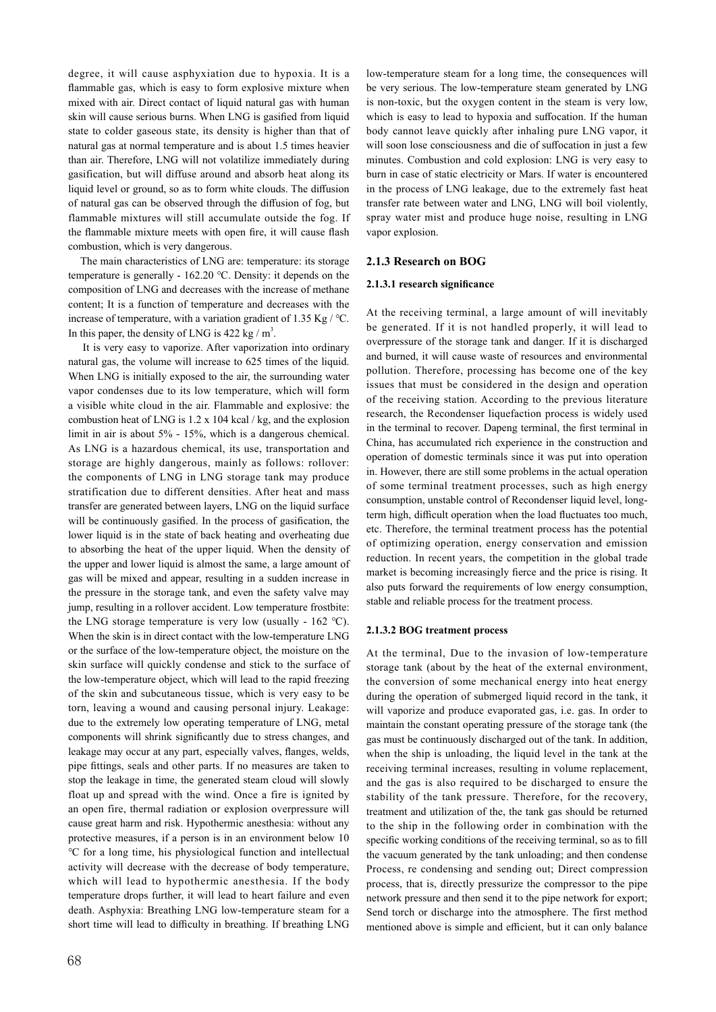degree, it will cause asphyxiation due to hypoxia. It is a flammable gas, which is easy to form explosive mixture when mixed with air. Direct contact of liquid natural gas with human skin will cause serious burns. When LNG is gasified from liquid state to colder gaseous state, its density is higher than that of natural gas at normal temperature and is about 1.5 times heavier than air. Therefore, LNG will not volatilize immediately during gasification, but will diffuse around and absorb heat along its liquid level or ground, so as to form white clouds. The diffusion of natural gas can be observed through the diffusion of fog, but flammable mixtures will still accumulate outside the fog. If the flammable mixture meets with open fire, it will cause flash combustion, which is very dangerous.

 The main characteristics of LNG are: temperature: its storage temperature is generally - 162.20 ℃. Density: it depends on the composition of LNG and decreases with the increase of methane content; It is a function of temperature and decreases with the increase of temperature, with a variation gradient of 1.35 Kg  $/$  °C. In this paper, the density of LNG is  $422 \text{ kg} / \text{m}^3$ .

 It is very easy to vaporize. After vaporization into ordinary natural gas, the volume will increase to 625 times of the liquid. When LNG is initially exposed to the air, the surrounding water vapor condenses due to its low temperature, which will form a visible white cloud in the air. Flammable and explosive: the combustion heat of LNG is 1.2 x 104 kcal / kg, and the explosion limit in air is about 5% - 15%, which is a dangerous chemical. As LNG is a hazardous chemical, its use, transportation and storage are highly dangerous, mainly as follows: rollover: the components of LNG in LNG storage tank may produce stratification due to different densities. After heat and mass transfer are generated between layers, LNG on the liquid surface will be continuously gasified. In the process of gasification, the lower liquid is in the state of back heating and overheating due to absorbing the heat of the upper liquid. When the density of the upper and lower liquid is almost the same, a large amount of gas will be mixed and appear, resulting in a sudden increase in the pressure in the storage tank, and even the safety valve may jump, resulting in a rollover accident. Low temperature frostbite: the LNG storage temperature is very low (usually - 162 ℃). When the skin is in direct contact with the low-temperature LNG or the surface of the low-temperature object, the moisture on the skin surface will quickly condense and stick to the surface of the low-temperature object, which will lead to the rapid freezing of the skin and subcutaneous tissue, which is very easy to be torn, leaving a wound and causing personal injury. Leakage: due to the extremely low operating temperature of LNG, metal components will shrink significantly due to stress changes, and leakage may occur at any part, especially valves, flanges, welds, pipe fittings, seals and other parts. If no measures are taken to stop the leakage in time, the generated steam cloud will slowly float up and spread with the wind. Once a fire is ignited by an open fire, thermal radiation or explosion overpressure will cause great harm and risk. Hypothermic anesthesia: without any protective measures, if a person is in an environment below 10 ℃ for a long time, his physiological function and intellectual activity will decrease with the decrease of body temperature, which will lead to hypothermic anesthesia. If the body temperature drops further, it will lead to heart failure and even death. Asphyxia: Breathing LNG low-temperature steam for a short time will lead to difficulty in breathing. If breathing LNG

low-temperature steam for a long time, the consequences will be very serious. The low-temperature steam generated by LNG is non-toxic, but the oxygen content in the steam is very low, which is easy to lead to hypoxia and suffocation. If the human body cannot leave quickly after inhaling pure LNG vapor, it will soon lose consciousness and die of suffocation in just a few minutes. Combustion and cold explosion: LNG is very easy to burn in case of static electricity or Mars. If water is encountered in the process of LNG leakage, due to the extremely fast heat transfer rate between water and LNG, LNG will boil violently, spray water mist and produce huge noise, resulting in LNG vapor explosion.

### **2.1.3 Research on BOG**

### **2.1.3.1 research significance**

At the receiving terminal, a large amount of will inevitably be generated. If it is not handled properly, it will lead to overpressure of the storage tank and danger. If it is discharged and burned, it will cause waste of resources and environmental pollution. Therefore, processing has become one of the key issues that must be considered in the design and operation of the receiving station. According to the previous literature research, the Recondenser liquefaction process is widely used in the terminal to recover. Dapeng terminal, the first terminal in China, has accumulated rich experience in the construction and operation of domestic terminals since it was put into operation in. However, there are still some problems in the actual operation of some terminal treatment processes, such as high energy consumption, unstable control of Recondenser liquid level, longterm high, difficult operation when the load fluctuates too much, etc. Therefore, the terminal treatment process has the potential of optimizing operation, energy conservation and emission reduction. In recent years, the competition in the global trade market is becoming increasingly fierce and the price is rising. It also puts forward the requirements of low energy consumption, stable and reliable process for the treatment process.

#### **2.1.3.2 BOG treatment process**

At the terminal, Due to the invasion of low-temperature storage tank (about by the heat of the external environment, the conversion of some mechanical energy into heat energy during the operation of submerged liquid record in the tank, it will vaporize and produce evaporated gas, i.e. gas. In order to maintain the constant operating pressure of the storage tank (the gas must be continuously discharged out of the tank. In addition, when the ship is unloading, the liquid level in the tank at the receiving terminal increases, resulting in volume replacement, and the gas is also required to be discharged to ensure the stability of the tank pressure. Therefore, for the recovery, treatment and utilization of the, the tank gas should be returned to the ship in the following order in combination with the specific working conditions of the receiving terminal, so as to fill the vacuum generated by the tank unloading; and then condense Process, re condensing and sending out; Direct compression process, that is, directly pressurize the compressor to the pipe network pressure and then send it to the pipe network for export; Send torch or discharge into the atmosphere. The first method mentioned above is simple and efficient, but it can only balance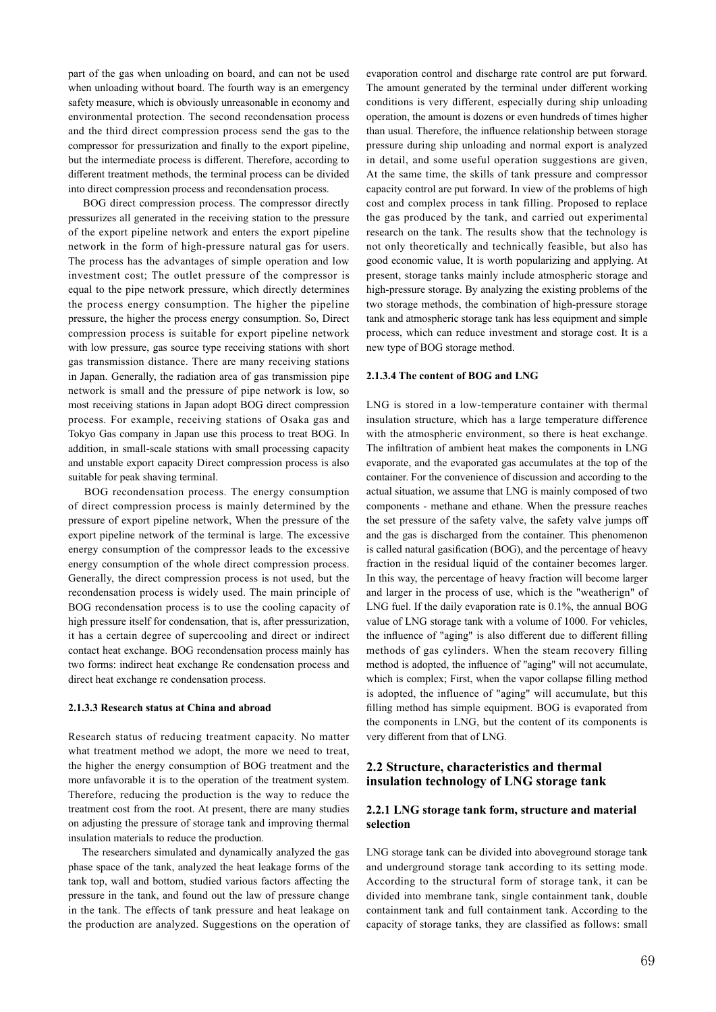part of the gas when unloading on board, and can not be used when unloading without board. The fourth way is an emergency safety measure, which is obviously unreasonable in economy and environmental protection. The second recondensation process and the third direct compression process send the gas to the compressor for pressurization and finally to the export pipeline, but the intermediate process is different. Therefore, according to different treatment methods, the terminal process can be divided into direct compression process and recondensation process.

 BOG direct compression process. The compressor directly pressurizes all generated in the receiving station to the pressure of the export pipeline network and enters the export pipeline network in the form of high-pressure natural gas for users. The process has the advantages of simple operation and low investment cost; The outlet pressure of the compressor is equal to the pipe network pressure, which directly determines the process energy consumption. The higher the pipeline pressure, the higher the process energy consumption. So, Direct compression process is suitable for export pipeline network with low pressure, gas source type receiving stations with short gas transmission distance. There are many receiving stations in Japan. Generally, the radiation area of gas transmission pipe network is small and the pressure of pipe network is low, so most receiving stations in Japan adopt BOG direct compression process. For example, receiving stations of Osaka gas and Tokyo Gas company in Japan use this process to treat BOG. In addition, in small-scale stations with small processing capacity and unstable export capacity Direct compression process is also suitable for peak shaving terminal.

 BOG recondensation process. The energy consumption of direct compression process is mainly determined by the pressure of export pipeline network, When the pressure of the export pipeline network of the terminal is large. The excessive energy consumption of the compressor leads to the excessive energy consumption of the whole direct compression process. Generally, the direct compression process is not used, but the recondensation process is widely used. The main principle of BOG recondensation process is to use the cooling capacity of high pressure itself for condensation, that is, after pressurization, it has a certain degree of supercooling and direct or indirect contact heat exchange. BOG recondensation process mainly has two forms: indirect heat exchange Re condensation process and direct heat exchange re condensation process.

#### **2.1.3.3 Research status at China and abroad**

Research status of reducing treatment capacity. No matter what treatment method we adopt, the more we need to treat, the higher the energy consumption of BOG treatment and the more unfavorable it is to the operation of the treatment system. Therefore, reducing the production is the way to reduce the treatment cost from the root. At present, there are many studies on adjusting the pressure of storage tank and improving thermal insulation materials to reduce the production.

 The researchers simulated and dynamically analyzed the gas phase space of the tank, analyzed the heat leakage forms of the tank top, wall and bottom, studied various factors affecting the pressure in the tank, and found out the law of pressure change in the tank. The effects of tank pressure and heat leakage on the production are analyzed. Suggestions on the operation of

evaporation control and discharge rate control are put forward. The amount generated by the terminal under different working conditions is very different, especially during ship unloading operation, the amount is dozens or even hundreds of times higher than usual. Therefore, the influence relationship between storage pressure during ship unloading and normal export is analyzed in detail, and some useful operation suggestions are given, At the same time, the skills of tank pressure and compressor capacity control are put forward. In view of the problems of high cost and complex process in tank filling. Proposed to replace the gas produced by the tank, and carried out experimental research on the tank. The results show that the technology is not only theoretically and technically feasible, but also has good economic value, It is worth popularizing and applying. At present, storage tanks mainly include atmospheric storage and high-pressure storage. By analyzing the existing problems of the two storage methods, the combination of high-pressure storage tank and atmospheric storage tank has less equipment and simple process, which can reduce investment and storage cost. It is a new type of BOG storage method.

#### **2.1.3.4 The content of BOG and LNG**

LNG is stored in a low-temperature container with thermal insulation structure, which has a large temperature difference with the atmospheric environment, so there is heat exchange. The infiltration of ambient heat makes the components in LNG evaporate, and the evaporated gas accumulates at the top of the container. For the convenience of discussion and according to the actual situation, we assume that LNG is mainly composed of two components - methane and ethane. When the pressure reaches the set pressure of the safety valve, the safety valve jumps off and the gas is discharged from the container. This phenomenon is called natural gasification (BOG), and the percentage of heavy fraction in the residual liquid of the container becomes larger. In this way, the percentage of heavy fraction will become larger and larger in the process of use, which is the "weatherign" of LNG fuel. If the daily evaporation rate is 0.1%, the annual BOG value of LNG storage tank with a volume of 1000. For vehicles, the influence of "aging" is also different due to different filling methods of gas cylinders. When the steam recovery filling method is adopted, the influence of "aging" will not accumulate, which is complex; First, when the vapor collapse filling method is adopted, the influence of "aging" will accumulate, but this filling method has simple equipment. BOG is evaporated from the components in LNG, but the content of its components is very different from that of LNG.

## **2.2 Structure, characteristics and thermal insulation technology of LNG storage tank**

## **2.2.1 LNG storage tank form, structure and material selection**

LNG storage tank can be divided into aboveground storage tank and underground storage tank according to its setting mode. According to the structural form of storage tank, it can be divided into membrane tank, single containment tank, double containment tank and full containment tank. According to the capacity of storage tanks, they are classified as follows: small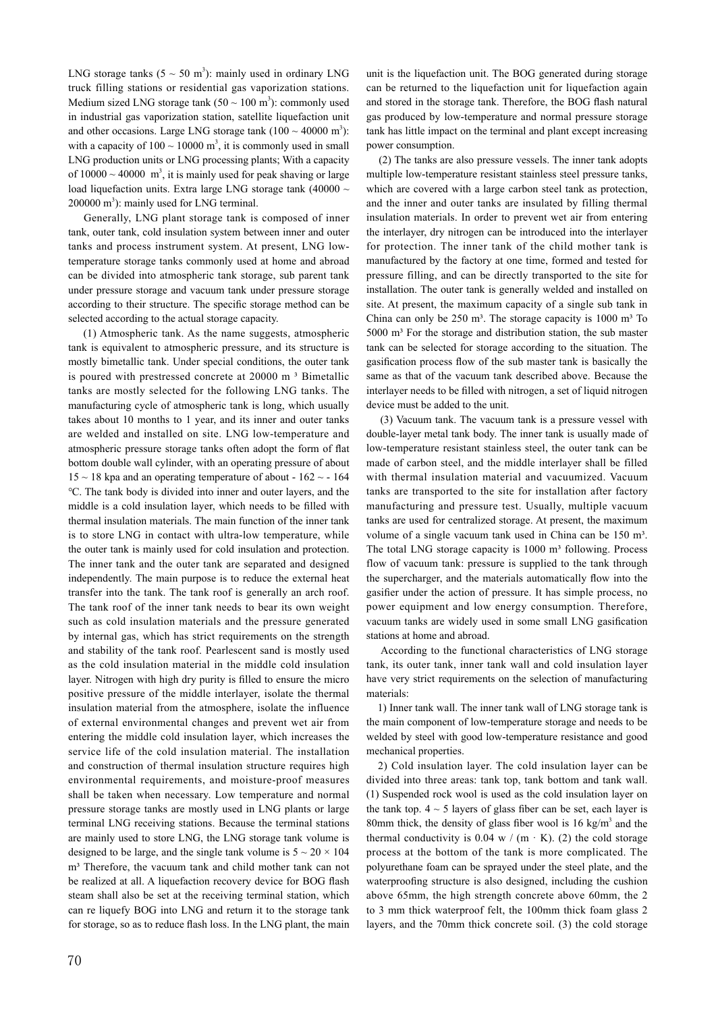LNG storage tanks  $(5 \sim 50 \text{ m}^3)$ : mainly used in ordinary LNG truck filling stations or residential gas vaporization stations. Medium sized LNG storage tank  $(50 \sim 100 \text{ m}^3)$ : commonly used in industrial gas vaporization station, satellite liquefaction unit and other occasions. Large LNG storage tank  $(100 \sim 40000 \text{ m}^3)$ : with a capacity of  $100 \sim 10000$  m<sup>3</sup>, it is commonly used in small LNG production units or LNG processing plants; With a capacity of  $10000 \sim 40000$  m<sup>3</sup>, it is mainly used for peak shaving or large load liquefaction units. Extra large LNG storage tank (40000 ~  $200000 \text{ m}^3$ ): mainly used for LNG terminal.

 Generally, LNG plant storage tank is composed of inner tank, outer tank, cold insulation system between inner and outer tanks and process instrument system. At present, LNG lowtemperature storage tanks commonly used at home and abroad can be divided into atmospheric tank storage, sub parent tank under pressure storage and vacuum tank under pressure storage according to their structure. The specific storage method can be selected according to the actual storage capacity.

 (1) Atmospheric tank. As the name suggests, atmospheric tank is equivalent to atmospheric pressure, and its structure is mostly bimetallic tank. Under special conditions, the outer tank is poured with prestressed concrete at 20000 m<sup>3</sup> Bimetallic tanks are mostly selected for the following LNG tanks. The manufacturing cycle of atmospheric tank is long, which usually takes about 10 months to 1 year, and its inner and outer tanks are welded and installed on site. LNG low-temperature and atmospheric pressure storage tanks often adopt the form of flat bottom double wall cylinder, with an operating pressure of about  $15 \sim 18$  kpa and an operating temperature of about -  $162 \sim$  - 164 ℃. The tank body is divided into inner and outer layers, and the middle is a cold insulation layer, which needs to be filled with thermal insulation materials. The main function of the inner tank is to store LNG in contact with ultra-low temperature, while the outer tank is mainly used for cold insulation and protection. The inner tank and the outer tank are separated and designed independently. The main purpose is to reduce the external heat transfer into the tank. The tank roof is generally an arch roof. The tank roof of the inner tank needs to bear its own weight such as cold insulation materials and the pressure generated by internal gas, which has strict requirements on the strength and stability of the tank roof. Pearlescent sand is mostly used as the cold insulation material in the middle cold insulation layer. Nitrogen with high dry purity is filled to ensure the micro positive pressure of the middle interlayer, isolate the thermal insulation material from the atmosphere, isolate the influence of external environmental changes and prevent wet air from entering the middle cold insulation layer, which increases the service life of the cold insulation material. The installation and construction of thermal insulation structure requires high environmental requirements, and moisture-proof measures shall be taken when necessary. Low temperature and normal pressure storage tanks are mostly used in LNG plants or large terminal LNG receiving stations. Because the terminal stations are mainly used to store LNG, the LNG storage tank volume is designed to be large, and the single tank volume is  $5 \sim 20 \times 104$ m<sup>3</sup> Therefore, the vacuum tank and child mother tank can not be realized at all. A liquefaction recovery device for BOG flash steam shall also be set at the receiving terminal station, which can re liquefy BOG into LNG and return it to the storage tank for storage, so as to reduce flash loss. In the LNG plant, the main

unit is the liquefaction unit. The BOG generated during storage can be returned to the liquefaction unit for liquefaction again and stored in the storage tank. Therefore, the BOG flash natural gas produced by low-temperature and normal pressure storage tank has little impact on the terminal and plant except increasing power consumption.

 (2) The tanks are also pressure vessels. The inner tank adopts multiple low-temperature resistant stainless steel pressure tanks, which are covered with a large carbon steel tank as protection, and the inner and outer tanks are insulated by filling thermal insulation materials. In order to prevent wet air from entering the interlayer, dry nitrogen can be introduced into the interlayer for protection. The inner tank of the child mother tank is manufactured by the factory at one time, formed and tested for pressure filling, and can be directly transported to the site for installation. The outer tank is generally welded and installed on site. At present, the maximum capacity of a single sub tank in China can only be  $250 \text{ m}^3$ . The storage capacity is  $1000 \text{ m}^3$  To  $5000$  m<sup>3</sup> For the storage and distribution station, the sub master tank can be selected for storage according to the situation. The gasification process flow of the sub master tank is basically the same as that of the vacuum tank described above. Because the interlayer needs to be filled with nitrogen, a set of liquid nitrogen device must be added to the unit.

 (3) Vacuum tank. The vacuum tank is a pressure vessel with double-layer metal tank body. The inner tank is usually made of low-temperature resistant stainless steel, the outer tank can be made of carbon steel, and the middle interlayer shall be filled with thermal insulation material and vacuumized. Vacuum tanks are transported to the site for installation after factory manufacturing and pressure test. Usually, multiple vacuum tanks are used for centralized storage. At present, the maximum volume of a single vacuum tank used in China can be 150 m<sup>3</sup>. The total LNG storage capacity is  $1000 \text{ m}^3$  following. Process flow of vacuum tank: pressure is supplied to the tank through the supercharger, and the materials automatically flow into the gasifier under the action of pressure. It has simple process, no power equipment and low energy consumption. Therefore, vacuum tanks are widely used in some small LNG gasification stations at home and abroad.

 According to the functional characteristics of LNG storage tank, its outer tank, inner tank wall and cold insulation layer have very strict requirements on the selection of manufacturing materials:

 1) Inner tank wall. The inner tank wall of LNG storage tank is the main component of low-temperature storage and needs to be welded by steel with good low-temperature resistance and good mechanical properties.

 2) Cold insulation layer. The cold insulation layer can be divided into three areas: tank top, tank bottom and tank wall. (1) Suspended rock wool is used as the cold insulation layer on the tank top.  $4 \sim 5$  layers of glass fiber can be set, each layer is 80mm thick, the density of glass fiber wool is  $16 \text{ kg/m}^3$  and the thermal conductivity is  $0.04 \text{ w}$  / (m  $\cdot$  K). (2) the cold storage process at the bottom of the tank is more complicated. The polyurethane foam can be sprayed under the steel plate, and the waterproofing structure is also designed, including the cushion above 65mm, the high strength concrete above 60mm, the 2 to 3 mm thick waterproof felt, the 100mm thick foam glass 2 layers, and the 70mm thick concrete soil. (3) the cold storage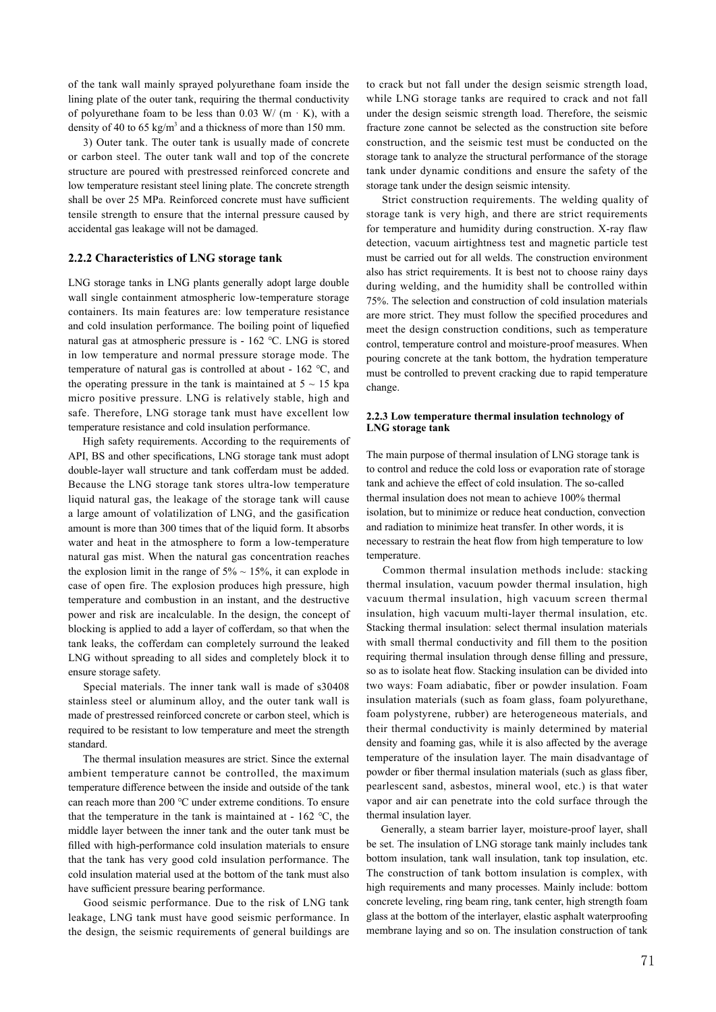of the tank wall mainly sprayed polyurethane foam inside the lining plate of the outer tank, requiring the thermal conductivity of polyurethane foam to be less than 0.03 W/ (m  $\cdot$  K), with a density of 40 to 65 kg/m<sup>3</sup> and a thickness of more than 150 mm.

 3) Outer tank. The outer tank is usually made of concrete or carbon steel. The outer tank wall and top of the concrete structure are poured with prestressed reinforced concrete and low temperature resistant steel lining plate. The concrete strength shall be over 25 MPa. Reinforced concrete must have sufficient tensile strength to ensure that the internal pressure caused by accidental gas leakage will not be damaged.

### **2.2.2 Characteristics of LNG storage tank**

LNG storage tanks in LNG plants generally adopt large double wall single containment atmospheric low-temperature storage containers. Its main features are: low temperature resistance and cold insulation performance. The boiling point of liquefied natural gas at atmospheric pressure is - 162 ℃. LNG is stored in low temperature and normal pressure storage mode. The temperature of natural gas is controlled at about - 162 ℃, and the operating pressure in the tank is maintained at  $5 \sim 15$  kpa micro positive pressure. LNG is relatively stable, high and safe. Therefore, LNG storage tank must have excellent low temperature resistance and cold insulation performance.

 High safety requirements. According to the requirements of API, BS and other specifications, LNG storage tank must adopt double-layer wall structure and tank cofferdam must be added. Because the LNG storage tank stores ultra-low temperature liquid natural gas, the leakage of the storage tank will cause a large amount of volatilization of LNG, and the gasification amount is more than 300 times that of the liquid form. It absorbs water and heat in the atmosphere to form a low-temperature natural gas mist. When the natural gas concentration reaches the explosion limit in the range of  $5\% \sim 15\%$ , it can explode in case of open fire. The explosion produces high pressure, high temperature and combustion in an instant, and the destructive power and risk are incalculable. In the design, the concept of blocking is applied to add a layer of cofferdam, so that when the tank leaks, the cofferdam can completely surround the leaked LNG without spreading to all sides and completely block it to ensure storage safety.

 Special materials. The inner tank wall is made of s30408 stainless steel or aluminum alloy, and the outer tank wall is made of prestressed reinforced concrete or carbon steel, which is required to be resistant to low temperature and meet the strength standard.

 The thermal insulation measures are strict. Since the external ambient temperature cannot be controlled, the maximum temperature difference between the inside and outside of the tank can reach more than 200 ℃ under extreme conditions. To ensure that the temperature in the tank is maintained at -  $162 \text{ °C}$ , the middle layer between the inner tank and the outer tank must be filled with high-performance cold insulation materials to ensure that the tank has very good cold insulation performance. The cold insulation material used at the bottom of the tank must also have sufficient pressure bearing performance.

 Good seismic performance. Due to the risk of LNG tank leakage, LNG tank must have good seismic performance. In the design, the seismic requirements of general buildings are to crack but not fall under the design seismic strength load, while LNG storage tanks are required to crack and not fall under the design seismic strength load. Therefore, the seismic fracture zone cannot be selected as the construction site before construction, and the seismic test must be conducted on the storage tank to analyze the structural performance of the storage tank under dynamic conditions and ensure the safety of the storage tank under the design seismic intensity.

 Strict construction requirements. The welding quality of storage tank is very high, and there are strict requirements for temperature and humidity during construction. X-ray flaw detection, vacuum airtightness test and magnetic particle test must be carried out for all welds. The construction environment also has strict requirements. It is best not to choose rainy days during welding, and the humidity shall be controlled within 75%. The selection and construction of cold insulation materials are more strict. They must follow the specified procedures and meet the design construction conditions, such as temperature control, temperature control and moisture-proof measures. When pouring concrete at the tank bottom, the hydration temperature must be controlled to prevent cracking due to rapid temperature change.

#### **2.2.3 Low temperature thermal insulation technology of LNG storage tank**

The main purpose of thermal insulation of LNG storage tank is to control and reduce the cold loss or evaporation rate of storage tank and achieve the effect of cold insulation. The so-called thermal insulation does not mean to achieve 100% thermal isolation, but to minimize or reduce heat conduction, convection and radiation to minimize heat transfer. In other words, it is necessary to restrain the heat flow from high temperature to low temperature.

 Common thermal insulation methods include: stacking thermal insulation, vacuum powder thermal insulation, high vacuum thermal insulation, high vacuum screen thermal insulation, high vacuum multi-layer thermal insulation, etc. Stacking thermal insulation: select thermal insulation materials with small thermal conductivity and fill them to the position requiring thermal insulation through dense filling and pressure, so as to isolate heat flow. Stacking insulation can be divided into two ways: Foam adiabatic, fiber or powder insulation. Foam insulation materials (such as foam glass, foam polyurethane, foam polystyrene, rubber) are heterogeneous materials, and their thermal conductivity is mainly determined by material density and foaming gas, while it is also affected by the average temperature of the insulation layer. The main disadvantage of powder or fiber thermal insulation materials (such as glass fiber, pearlescent sand, asbestos, mineral wool, etc.) is that water vapor and air can penetrate into the cold surface through the thermal insulation layer.

 Generally, a steam barrier layer, moisture-proof layer, shall be set. The insulation of LNG storage tank mainly includes tank bottom insulation, tank wall insulation, tank top insulation, etc. The construction of tank bottom insulation is complex, with high requirements and many processes. Mainly include: bottom concrete leveling, ring beam ring, tank center, high strength foam glass at the bottom of the interlayer, elastic asphalt waterproofing membrane laying and so on. The insulation construction of tank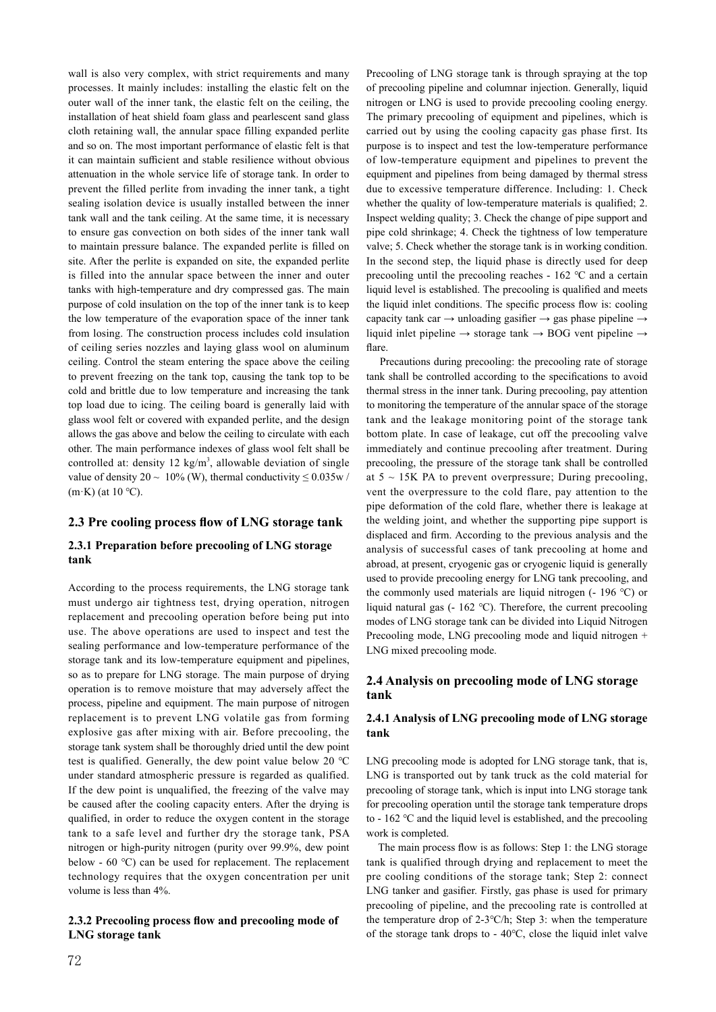wall is also very complex, with strict requirements and many processes. It mainly includes: installing the elastic felt on the outer wall of the inner tank, the elastic felt on the ceiling, the installation of heat shield foam glass and pearlescent sand glass cloth retaining wall, the annular space filling expanded perlite and so on. The most important performance of elastic felt is that it can maintain sufficient and stable resilience without obvious attenuation in the whole service life of storage tank. In order to prevent the filled perlite from invading the inner tank, a tight sealing isolation device is usually installed between the inner tank wall and the tank ceiling. At the same time, it is necessary to ensure gas convection on both sides of the inner tank wall to maintain pressure balance. The expanded perlite is filled on site. After the perlite is expanded on site, the expanded perlite is filled into the annular space between the inner and outer tanks with high-temperature and dry compressed gas. The main purpose of cold insulation on the top of the inner tank is to keep the low temperature of the evaporation space of the inner tank from losing. The construction process includes cold insulation of ceiling series nozzles and laying glass wool on aluminum ceiling. Control the steam entering the space above the ceiling to prevent freezing on the tank top, causing the tank top to be cold and brittle due to low temperature and increasing the tank top load due to icing. The ceiling board is generally laid with glass wool felt or covered with expanded perlite, and the design allows the gas above and below the ceiling to circulate with each other. The main performance indexes of glass wool felt shall be controlled at: density 12  $\text{kg/m}^3$ , allowable deviation of single value of density  $20 \sim 10\%$  (W), thermal conductivity  $\leq 0.035w/$  $(m·K)$  (at 10 °C).

## **2.3 Pre cooling process flow of LNG storage tank**

## **2.3.1 Preparation before precooling of LNG storage tank**

According to the process requirements, the LNG storage tank must undergo air tightness test, drying operation, nitrogen replacement and precooling operation before being put into use. The above operations are used to inspect and test the sealing performance and low-temperature performance of the storage tank and its low-temperature equipment and pipelines, so as to prepare for LNG storage. The main purpose of drying operation is to remove moisture that may adversely affect the process, pipeline and equipment. The main purpose of nitrogen replacement is to prevent LNG volatile gas from forming explosive gas after mixing with air. Before precooling, the storage tank system shall be thoroughly dried until the dew point test is qualified. Generally, the dew point value below 20 ℃ under standard atmospheric pressure is regarded as qualified. If the dew point is unqualified, the freezing of the valve may be caused after the cooling capacity enters. After the drying is qualified, in order to reduce the oxygen content in the storage tank to a safe level and further dry the storage tank, PSA nitrogen or high-purity nitrogen (purity over 99.9%, dew point below - 60 ℃) can be used for replacement. The replacement technology requires that the oxygen concentration per unit volume is less than 4%.

### **2.3.2 Precooling process flow and precooling mode of LNG storage tank**

Precooling of LNG storage tank is through spraying at the top of precooling pipeline and columnar injection. Generally, liquid nitrogen or LNG is used to provide precooling cooling energy. The primary precooling of equipment and pipelines, which is carried out by using the cooling capacity gas phase first. Its purpose is to inspect and test the low-temperature performance of low-temperature equipment and pipelines to prevent the equipment and pipelines from being damaged by thermal stress due to excessive temperature difference. Including: 1. Check whether the quality of low-temperature materials is qualified; 2. Inspect welding quality; 3. Check the change of pipe support and pipe cold shrinkage; 4. Check the tightness of low temperature valve; 5. Check whether the storage tank is in working condition. In the second step, the liquid phase is directly used for deep precooling until the precooling reaches - 162 ℃ and a certain liquid level is established. The precooling is qualified and meets the liquid inlet conditions. The specific process flow is: cooling capacity tank car  $\rightarrow$  unloading gasifier  $\rightarrow$  gas phase pipeline  $\rightarrow$ liquid inlet pipeline  $\rightarrow$  storage tank  $\rightarrow$  BOG vent pipeline  $\rightarrow$ flare.

 Precautions during precooling: the precooling rate of storage tank shall be controlled according to the specifications to avoid thermal stress in the inner tank. During precooling, pay attention to monitoring the temperature of the annular space of the storage tank and the leakage monitoring point of the storage tank bottom plate. In case of leakage, cut off the precooling valve immediately and continue precooling after treatment. During precooling, the pressure of the storage tank shall be controlled at  $5 \sim 15K$  PA to prevent overpressure; During precooling, vent the overpressure to the cold flare, pay attention to the pipe deformation of the cold flare, whether there is leakage at the welding joint, and whether the supporting pipe support is displaced and firm. According to the previous analysis and the analysis of successful cases of tank precooling at home and abroad, at present, cryogenic gas or cryogenic liquid is generally used to provide precooling energy for LNG tank precooling, and the commonly used materials are liquid nitrogen (- 196 ℃) or liquid natural gas (- 162 ℃). Therefore, the current precooling modes of LNG storage tank can be divided into Liquid Nitrogen Precooling mode, LNG precooling mode and liquid nitrogen + LNG mixed precooling mode.

## **2.4 Analysis on precooling mode of LNG storage tank**

## **2.4.1 Analysis of LNG precooling mode of LNG storage tank**

LNG precooling mode is adopted for LNG storage tank, that is, LNG is transported out by tank truck as the cold material for precooling of storage tank, which is input into LNG storage tank for precooling operation until the storage tank temperature drops to - 162 ℃ and the liquid level is established, and the precooling work is completed.

 The main process flow is as follows: Step 1: the LNG storage tank is qualified through drying and replacement to meet the pre cooling conditions of the storage tank; Step 2: connect LNG tanker and gasifier. Firstly, gas phase is used for primary precooling of pipeline, and the precooling rate is controlled at the temperature drop of 2-3℃/h; Step 3: when the temperature of the storage tank drops to - 40℃, close the liquid inlet valve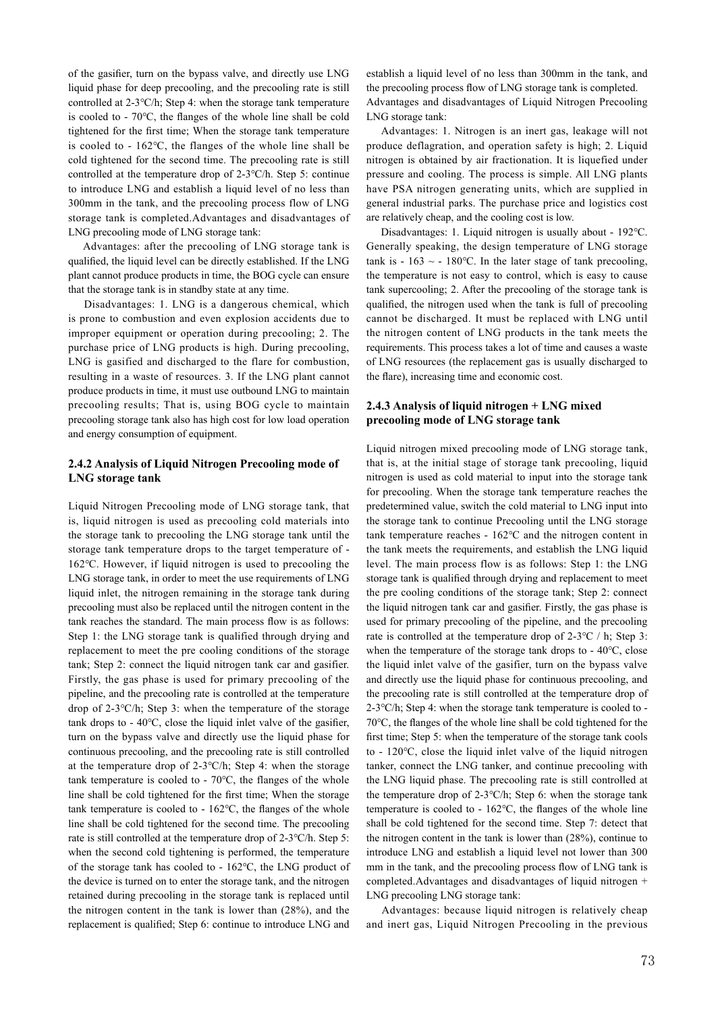of the gasifier, turn on the bypass valve, and directly use LNG liquid phase for deep precooling, and the precooling rate is still controlled at 2-3℃/h; Step 4: when the storage tank temperature is cooled to - 70℃, the flanges of the whole line shall be cold tightened for the first time; When the storage tank temperature is cooled to - 162℃, the flanges of the whole line shall be cold tightened for the second time. The precooling rate is still controlled at the temperature drop of 2-3℃/h. Step 5: continue to introduce LNG and establish a liquid level of no less than 300mm in the tank, and the precooling process flow of LNG storage tank is completed.Advantages and disadvantages of LNG precooling mode of LNG storage tank:

 Advantages: after the precooling of LNG storage tank is qualified, the liquid level can be directly established. If the LNG plant cannot produce products in time, the BOG cycle can ensure that the storage tank is in standby state at any time.

 Disadvantages: 1. LNG is a dangerous chemical, which is prone to combustion and even explosion accidents due to improper equipment or operation during precooling; 2. The purchase price of LNG products is high. During precooling, LNG is gasified and discharged to the flare for combustion, resulting in a waste of resources. 3. If the LNG plant cannot produce products in time, it must use outbound LNG to maintain precooling results; That is, using BOG cycle to maintain precooling storage tank also has high cost for low load operation and energy consumption of equipment.

## **2.4.2 Analysis of Liquid Nitrogen Precooling mode of LNG storage tank**

Liquid Nitrogen Precooling mode of LNG storage tank, that is, liquid nitrogen is used as precooling cold materials into the storage tank to precooling the LNG storage tank until the storage tank temperature drops to the target temperature of - 162℃. However, if liquid nitrogen is used to precooling the LNG storage tank, in order to meet the use requirements of LNG liquid inlet, the nitrogen remaining in the storage tank during precooling must also be replaced until the nitrogen content in the tank reaches the standard. The main process flow is as follows: Step 1: the LNG storage tank is qualified through drying and replacement to meet the pre cooling conditions of the storage tank; Step 2: connect the liquid nitrogen tank car and gasifier. Firstly, the gas phase is used for primary precooling of the pipeline, and the precooling rate is controlled at the temperature drop of 2-3℃/h; Step 3: when the temperature of the storage tank drops to - 40℃, close the liquid inlet valve of the gasifier, turn on the bypass valve and directly use the liquid phase for continuous precooling, and the precooling rate is still controlled at the temperature drop of 2-3℃/h; Step 4: when the storage tank temperature is cooled to - 70℃, the flanges of the whole line shall be cold tightened for the first time; When the storage tank temperature is cooled to - 162℃, the flanges of the whole line shall be cold tightened for the second time. The precooling rate is still controlled at the temperature drop of 2-3℃/h. Step 5: when the second cold tightening is performed, the temperature of the storage tank has cooled to - 162℃, the LNG product of the device is turned on to enter the storage tank, and the nitrogen retained during precooling in the storage tank is replaced until the nitrogen content in the tank is lower than (28%), and the replacement is qualified; Step 6: continue to introduce LNG and establish a liquid level of no less than 300mm in the tank, and the precooling process flow of LNG storage tank is completed. Advantages and disadvantages of Liquid Nitrogen Precooling LNG storage tank:

 Advantages: 1. Nitrogen is an inert gas, leakage will not produce deflagration, and operation safety is high; 2. Liquid nitrogen is obtained by air fractionation. It is liquefied under pressure and cooling. The process is simple. All LNG plants have PSA nitrogen generating units, which are supplied in general industrial parks. The purchase price and logistics cost are relatively cheap, and the cooling cost is low.

 Disadvantages: 1. Liquid nitrogen is usually about - 192℃. Generally speaking, the design temperature of LNG storage tank is - 163  $\sim$  - 180°C. In the later stage of tank precooling, the temperature is not easy to control, which is easy to cause tank supercooling; 2. After the precooling of the storage tank is qualified, the nitrogen used when the tank is full of precooling cannot be discharged. It must be replaced with LNG until the nitrogen content of LNG products in the tank meets the requirements. This process takes a lot of time and causes a waste of LNG resources (the replacement gas is usually discharged to the flare), increasing time and economic cost.

### **2.4.3 Analysis of liquid nitrogen + LNG mixed precooling mode of LNG storage tank**

Liquid nitrogen mixed precooling mode of LNG storage tank, that is, at the initial stage of storage tank precooling, liquid nitrogen is used as cold material to input into the storage tank for precooling. When the storage tank temperature reaches the predetermined value, switch the cold material to LNG input into the storage tank to continue Precooling until the LNG storage tank temperature reaches - 162℃ and the nitrogen content in the tank meets the requirements, and establish the LNG liquid level. The main process flow is as follows: Step 1: the LNG storage tank is qualified through drying and replacement to meet the pre cooling conditions of the storage tank; Step 2: connect the liquid nitrogen tank car and gasifier. Firstly, the gas phase is used for primary precooling of the pipeline, and the precooling rate is controlled at the temperature drop of 2-3℃ / h; Step 3: when the temperature of the storage tank drops to - 40℃, close the liquid inlet valve of the gasifier, turn on the bypass valve and directly use the liquid phase for continuous precooling, and the precooling rate is still controlled at the temperature drop of 2-3℃/h; Step 4: when the storage tank temperature is cooled to - 70℃, the flanges of the whole line shall be cold tightened for the first time; Step 5: when the temperature of the storage tank cools to - 120℃, close the liquid inlet valve of the liquid nitrogen tanker, connect the LNG tanker, and continue precooling with the LNG liquid phase. The precooling rate is still controlled at the temperature drop of 2-3℃/h; Step 6: when the storage tank temperature is cooled to - 162℃, the flanges of the whole line shall be cold tightened for the second time. Step 7: detect that the nitrogen content in the tank is lower than (28%), continue to introduce LNG and establish a liquid level not lower than 300 mm in the tank, and the precooling process flow of LNG tank is completed.Advantages and disadvantages of liquid nitrogen + LNG precooling LNG storage tank:

 Advantages: because liquid nitrogen is relatively cheap and inert gas, Liquid Nitrogen Precooling in the previous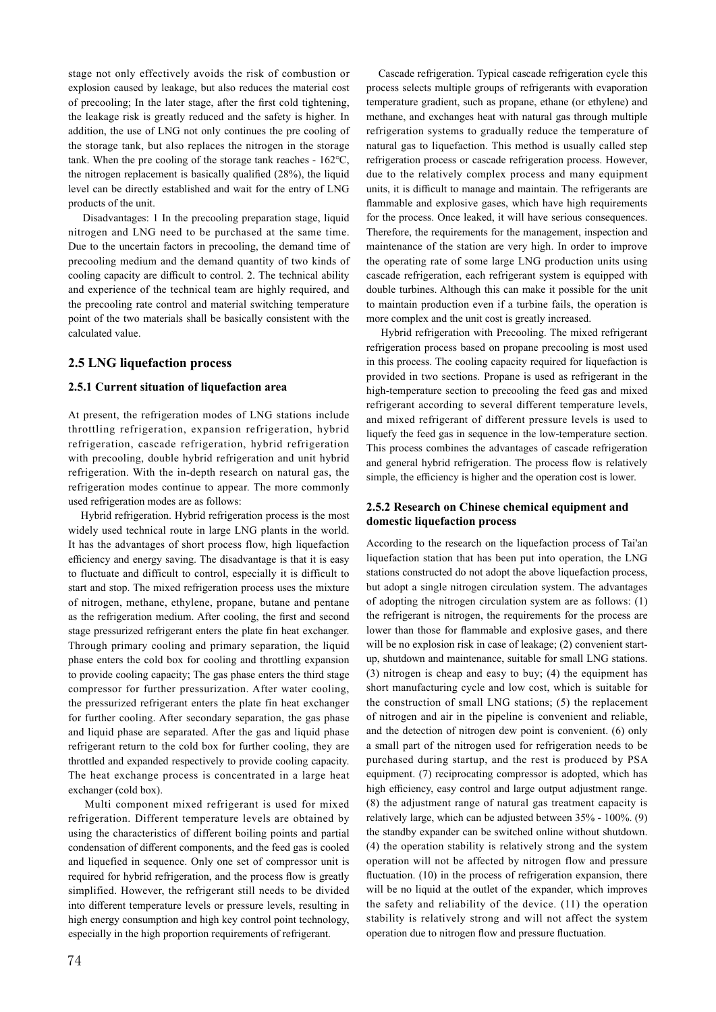stage not only effectively avoids the risk of combustion or explosion caused by leakage, but also reduces the material cost of precooling; In the later stage, after the first cold tightening, the leakage risk is greatly reduced and the safety is higher. In addition, the use of LNG not only continues the pre cooling of the storage tank, but also replaces the nitrogen in the storage tank. When the pre cooling of the storage tank reaches - 162℃, the nitrogen replacement is basically qualified (28%), the liquid level can be directly established and wait for the entry of LNG products of the unit.

 Disadvantages: 1 In the precooling preparation stage, liquid nitrogen and LNG need to be purchased at the same time. Due to the uncertain factors in precooling, the demand time of precooling medium and the demand quantity of two kinds of cooling capacity are difficult to control. 2. The technical ability and experience of the technical team are highly required, and the precooling rate control and material switching temperature point of the two materials shall be basically consistent with the calculated value.

## **2.5 LNG liquefaction process**

### **2.5.1 Current situation of liquefaction area**

At present, the refrigeration modes of LNG stations include throttling refrigeration, expansion refrigeration, hybrid refrigeration, cascade refrigeration, hybrid refrigeration with precooling, double hybrid refrigeration and unit hybrid refrigeration. With the in-depth research on natural gas, the refrigeration modes continue to appear. The more commonly used refrigeration modes are as follows:

 Hybrid refrigeration. Hybrid refrigeration process is the most widely used technical route in large LNG plants in the world. It has the advantages of short process flow, high liquefaction efficiency and energy saving. The disadvantage is that it is easy to fluctuate and difficult to control, especially it is difficult to start and stop. The mixed refrigeration process uses the mixture of nitrogen, methane, ethylene, propane, butane and pentane as the refrigeration medium. After cooling, the first and second stage pressurized refrigerant enters the plate fin heat exchanger. Through primary cooling and primary separation, the liquid phase enters the cold box for cooling and throttling expansion to provide cooling capacity; The gas phase enters the third stage compressor for further pressurization. After water cooling, the pressurized refrigerant enters the plate fin heat exchanger for further cooling. After secondary separation, the gas phase and liquid phase are separated. After the gas and liquid phase refrigerant return to the cold box for further cooling, they are throttled and expanded respectively to provide cooling capacity. The heat exchange process is concentrated in a large heat exchanger (cold box).

 Multi component mixed refrigerant is used for mixed refrigeration. Different temperature levels are obtained by using the characteristics of different boiling points and partial condensation of different components, and the feed gas is cooled and liquefied in sequence. Only one set of compressor unit is required for hybrid refrigeration, and the process flow is greatly simplified. However, the refrigerant still needs to be divided into different temperature levels or pressure levels, resulting in high energy consumption and high key control point technology, especially in the high proportion requirements of refrigerant.

 Cascade refrigeration. Typical cascade refrigeration cycle this process selects multiple groups of refrigerants with evaporation temperature gradient, such as propane, ethane (or ethylene) and methane, and exchanges heat with natural gas through multiple refrigeration systems to gradually reduce the temperature of natural gas to liquefaction. This method is usually called step refrigeration process or cascade refrigeration process. However, due to the relatively complex process and many equipment units, it is difficult to manage and maintain. The refrigerants are flammable and explosive gases, which have high requirements for the process. Once leaked, it will have serious consequences. Therefore, the requirements for the management, inspection and maintenance of the station are very high. In order to improve the operating rate of some large LNG production units using cascade refrigeration, each refrigerant system is equipped with double turbines. Although this can make it possible for the unit to maintain production even if a turbine fails, the operation is more complex and the unit cost is greatly increased.

 Hybrid refrigeration with Precooling. The mixed refrigerant refrigeration process based on propane precooling is most used in this process. The cooling capacity required for liquefaction is provided in two sections. Propane is used as refrigerant in the high-temperature section to precooling the feed gas and mixed refrigerant according to several different temperature levels, and mixed refrigerant of different pressure levels is used to liquefy the feed gas in sequence in the low-temperature section. This process combines the advantages of cascade refrigeration and general hybrid refrigeration. The process flow is relatively simple, the efficiency is higher and the operation cost is lower.

## **2.5.2 Research on Chinese chemical equipment and domestic liquefaction process**

According to the research on the liquefaction process of Tai'an liquefaction station that has been put into operation, the LNG stations constructed do not adopt the above liquefaction process, but adopt a single nitrogen circulation system. The advantages of adopting the nitrogen circulation system are as follows: (1) the refrigerant is nitrogen, the requirements for the process are lower than those for flammable and explosive gases, and there will be no explosion risk in case of leakage; (2) convenient startup, shutdown and maintenance, suitable for small LNG stations. (3) nitrogen is cheap and easy to buy; (4) the equipment has short manufacturing cycle and low cost, which is suitable for the construction of small LNG stations; (5) the replacement of nitrogen and air in the pipeline is convenient and reliable, and the detection of nitrogen dew point is convenient. (6) only a small part of the nitrogen used for refrigeration needs to be purchased during startup, and the rest is produced by PSA equipment. (7) reciprocating compressor is adopted, which has high efficiency, easy control and large output adjustment range. (8) the adjustment range of natural gas treatment capacity is relatively large, which can be adjusted between 35% - 100%. (9) the standby expander can be switched online without shutdown. (4) the operation stability is relatively strong and the system operation will not be affected by nitrogen flow and pressure fluctuation. (10) in the process of refrigeration expansion, there will be no liquid at the outlet of the expander, which improves the safety and reliability of the device. (11) the operation stability is relatively strong and will not affect the system operation due to nitrogen flow and pressure fluctuation.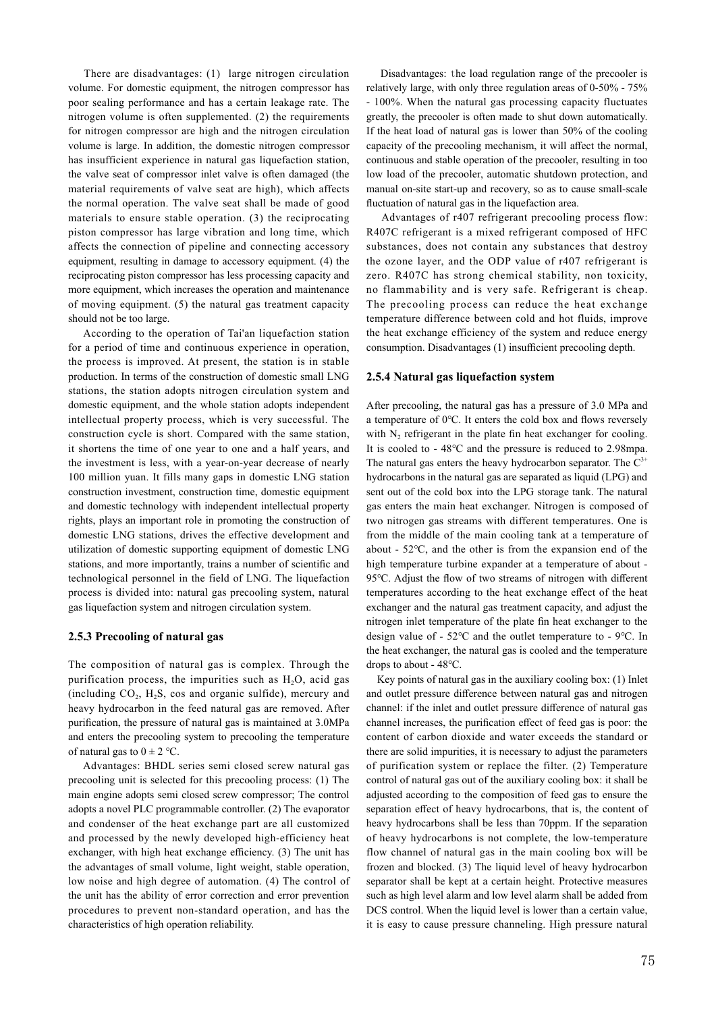There are disadvantages: (1) large nitrogen circulation volume. For domestic equipment, the nitrogen compressor has poor sealing performance and has a certain leakage rate. The nitrogen volume is often supplemented. (2) the requirements for nitrogen compressor are high and the nitrogen circulation volume is large. In addition, the domestic nitrogen compressor has insufficient experience in natural gas liquefaction station, the valve seat of compressor inlet valve is often damaged (the material requirements of valve seat are high), which affects the normal operation. The valve seat shall be made of good materials to ensure stable operation. (3) the reciprocating piston compressor has large vibration and long time, which affects the connection of pipeline and connecting accessory equipment, resulting in damage to accessory equipment. (4) the reciprocating piston compressor has less processing capacity and more equipment, which increases the operation and maintenance of moving equipment. (5) the natural gas treatment capacity should not be too large.

 According to the operation of Tai'an liquefaction station for a period of time and continuous experience in operation, the process is improved. At present, the station is in stable production. In terms of the construction of domestic small LNG stations, the station adopts nitrogen circulation system and domestic equipment, and the whole station adopts independent intellectual property process, which is very successful. The construction cycle is short. Compared with the same station, it shortens the time of one year to one and a half years, and the investment is less, with a year-on-year decrease of nearly 100 million yuan. It fills many gaps in domestic LNG station construction investment, construction time, domestic equipment and domestic technology with independent intellectual property rights, plays an important role in promoting the construction of domestic LNG stations, drives the effective development and utilization of domestic supporting equipment of domestic LNG stations, and more importantly, trains a number of scientific and technological personnel in the field of LNG. The liquefaction process is divided into: natural gas precooling system, natural gas liquefaction system and nitrogen circulation system.

### **2.5.3 Precooling of natural gas**

The composition of natural gas is complex. Through the purification process, the impurities such as  $H_2O$ , acid gas (including  $CO<sub>2</sub>$ ,  $H<sub>2</sub>S$ , cos and organic sulfide), mercury and heavy hydrocarbon in the feed natural gas are removed. After purification, the pressure of natural gas is maintained at 3.0MPa and enters the precooling system to precooling the temperature of natural gas to  $0 \pm 2$  °C.

 Advantages: BHDL series semi closed screw natural gas precooling unit is selected for this precooling process: (1) The main engine adopts semi closed screw compressor; The control adopts a novel PLC programmable controller. (2) The evaporator and condenser of the heat exchange part are all customized and processed by the newly developed high-efficiency heat exchanger, with high heat exchange efficiency. (3) The unit has the advantages of small volume, light weight, stable operation, low noise and high degree of automation. (4) The control of the unit has the ability of error correction and error prevention procedures to prevent non-standard operation, and has the characteristics of high operation reliability.

 Disadvantages: the load regulation range of the precooler is relatively large, with only three regulation areas of 0-50% - 75% - 100%. When the natural gas processing capacity fluctuates greatly, the precooler is often made to shut down automatically. If the heat load of natural gas is lower than 50% of the cooling capacity of the precooling mechanism, it will affect the normal, continuous and stable operation of the precooler, resulting in too low load of the precooler, automatic shutdown protection, and manual on-site start-up and recovery, so as to cause small-scale fluctuation of natural gas in the liquefaction area.

 Advantages of r407 refrigerant precooling process flow: R407C refrigerant is a mixed refrigerant composed of HFC substances, does not contain any substances that destroy the ozone layer, and the ODP value of r407 refrigerant is zero. R407C has strong chemical stability, non toxicity, no flammability and is very safe. Refrigerant is cheap. The precooling process can reduce the heat exchange temperature difference between cold and hot fluids, improve the heat exchange efficiency of the system and reduce energy consumption. Disadvantages (1) insufficient precooling depth.

#### **2.5.4 Natural gas liquefaction system**

After precooling, the natural gas has a pressure of 3.0 MPa and a temperature of 0℃. It enters the cold box and flows reversely with  $N_2$  refrigerant in the plate fin heat exchanger for cooling. It is cooled to - 48℃ and the pressure is reduced to 2.98mpa. The natural gas enters the heavy hydrocarbon separator. The  $C^{3+}$ hydrocarbons in the natural gas are separated as liquid (LPG) and sent out of the cold box into the LPG storage tank. The natural gas enters the main heat exchanger. Nitrogen is composed of two nitrogen gas streams with different temperatures. One is from the middle of the main cooling tank at a temperature of about - 52℃, and the other is from the expansion end of the high temperature turbine expander at a temperature of about - 95℃. Adjust the flow of two streams of nitrogen with different temperatures according to the heat exchange effect of the heat exchanger and the natural gas treatment capacity, and adjust the nitrogen inlet temperature of the plate fin heat exchanger to the design value of - 52℃ and the outlet temperature to - 9℃. In the heat exchanger, the natural gas is cooled and the temperature drops to about - 48℃.

 Key points of natural gas in the auxiliary cooling box: (1) Inlet and outlet pressure difference between natural gas and nitrogen channel: if the inlet and outlet pressure difference of natural gas channel increases, the purification effect of feed gas is poor: the content of carbon dioxide and water exceeds the standard or there are solid impurities, it is necessary to adjust the parameters of purification system or replace the filter. (2) Temperature control of natural gas out of the auxiliary cooling box: it shall be adjusted according to the composition of feed gas to ensure the separation effect of heavy hydrocarbons, that is, the content of heavy hydrocarbons shall be less than 70ppm. If the separation of heavy hydrocarbons is not complete, the low-temperature flow channel of natural gas in the main cooling box will be frozen and blocked. (3) The liquid level of heavy hydrocarbon separator shall be kept at a certain height. Protective measures such as high level alarm and low level alarm shall be added from DCS control. When the liquid level is lower than a certain value, it is easy to cause pressure channeling. High pressure natural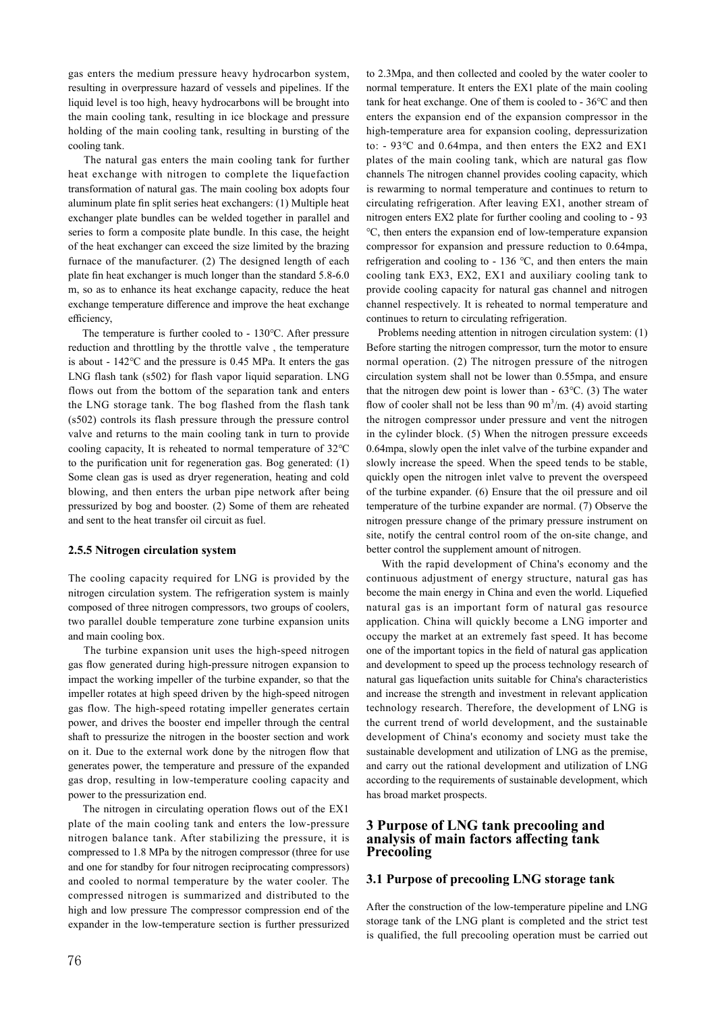gas enters the medium pressure heavy hydrocarbon system, resulting in overpressure hazard of vessels and pipelines. If the liquid level is too high, heavy hydrocarbons will be brought into the main cooling tank, resulting in ice blockage and pressure holding of the main cooling tank, resulting in bursting of the cooling tank.

 The natural gas enters the main cooling tank for further heat exchange with nitrogen to complete the liquefaction transformation of natural gas. The main cooling box adopts four aluminum plate fin split series heat exchangers: (1) Multiple heat exchanger plate bundles can be welded together in parallel and series to form a composite plate bundle. In this case, the height of the heat exchanger can exceed the size limited by the brazing furnace of the manufacturer. (2) The designed length of each plate fin heat exchanger is much longer than the standard 5.8-6.0 m, so as to enhance its heat exchange capacity, reduce the heat exchange temperature difference and improve the heat exchange efficiency,

 The temperature is further cooled to - 130℃. After pressure reduction and throttling by the throttle valve , the temperature is about - 142℃ and the pressure is 0.45 MPa. It enters the gas LNG flash tank (s502) for flash vapor liquid separation. LNG flows out from the bottom of the separation tank and enters the LNG storage tank. The bog flashed from the flash tank (s502) controls its flash pressure through the pressure control valve and returns to the main cooling tank in turn to provide cooling capacity, It is reheated to normal temperature of 32℃ to the purification unit for regeneration gas. Bog generated: (1) Some clean gas is used as dryer regeneration, heating and cold blowing, and then enters the urban pipe network after being pressurized by bog and booster. (2) Some of them are reheated and sent to the heat transfer oil circuit as fuel.

### **2.5.5 Nitrogen circulation system**

The cooling capacity required for LNG is provided by the nitrogen circulation system. The refrigeration system is mainly composed of three nitrogen compressors, two groups of coolers, two parallel double temperature zone turbine expansion units and main cooling box.

 The turbine expansion unit uses the high-speed nitrogen gas flow generated during high-pressure nitrogen expansion to impact the working impeller of the turbine expander, so that the impeller rotates at high speed driven by the high-speed nitrogen gas flow. The high-speed rotating impeller generates certain power, and drives the booster end impeller through the central shaft to pressurize the nitrogen in the booster section and work on it. Due to the external work done by the nitrogen flow that generates power, the temperature and pressure of the expanded gas drop, resulting in low-temperature cooling capacity and power to the pressurization end.

 The nitrogen in circulating operation flows out of the EX1 plate of the main cooling tank and enters the low-pressure nitrogen balance tank. After stabilizing the pressure, it is compressed to 1.8 MPa by the nitrogen compressor (three for use and one for standby for four nitrogen reciprocating compressors) and cooled to normal temperature by the water cooler. The compressed nitrogen is summarized and distributed to the high and low pressure The compressor compression end of the expander in the low-temperature section is further pressurized to 2.3Mpa, and then collected and cooled by the water cooler to normal temperature. It enters the EX1 plate of the main cooling tank for heat exchange. One of them is cooled to - 36℃ and then enters the expansion end of the expansion compressor in the high-temperature area for expansion cooling, depressurization to: - 93℃ and 0.64mpa, and then enters the EX2 and EX1 plates of the main cooling tank, which are natural gas flow channels The nitrogen channel provides cooling capacity, which is rewarming to normal temperature and continues to return to circulating refrigeration. After leaving EX1, another stream of nitrogen enters EX2 plate for further cooling and cooling to - 93 ℃, then enters the expansion end of low-temperature expansion compressor for expansion and pressure reduction to 0.64mpa, refrigeration and cooling to - 136 ℃, and then enters the main cooling tank EX3, EX2, EX1 and auxiliary cooling tank to provide cooling capacity for natural gas channel and nitrogen channel respectively. It is reheated to normal temperature and continues to return to circulating refrigeration.

 Problems needing attention in nitrogen circulation system: (1) Before starting the nitrogen compressor, turn the motor to ensure normal operation. (2) The nitrogen pressure of the nitrogen circulation system shall not be lower than 0.55mpa, and ensure that the nitrogen dew point is lower than - 63℃. (3) The water flow of cooler shall not be less than 90 m<sup>3</sup>/m. (4) avoid starting the nitrogen compressor under pressure and vent the nitrogen in the cylinder block. (5) When the nitrogen pressure exceeds 0.64mpa, slowly open the inlet valve of the turbine expander and slowly increase the speed. When the speed tends to be stable, quickly open the nitrogen inlet valve to prevent the overspeed of the turbine expander. (6) Ensure that the oil pressure and oil temperature of the turbine expander are normal. (7) Observe the nitrogen pressure change of the primary pressure instrument on site, notify the central control room of the on-site change, and better control the supplement amount of nitrogen.

 With the rapid development of China's economy and the continuous adjustment of energy structure, natural gas has become the main energy in China and even the world. Liquefied natural gas is an important form of natural gas resource application. China will quickly become a LNG importer and occupy the market at an extremely fast speed. It has become one of the important topics in the field of natural gas application and development to speed up the process technology research of natural gas liquefaction units suitable for China's characteristics and increase the strength and investment in relevant application technology research. Therefore, the development of LNG is the current trend of world development, and the sustainable development of China's economy and society must take the sustainable development and utilization of LNG as the premise, and carry out the rational development and utilization of LNG according to the requirements of sustainable development, which has broad market prospects.

## **3 Purpose of LNG tank precooling and analysis of main factors affecting tank Precooling**

## **3.1 Purpose of precooling LNG storage tank**

After the construction of the low-temperature pipeline and LNG storage tank of the LNG plant is completed and the strict test is qualified, the full precooling operation must be carried out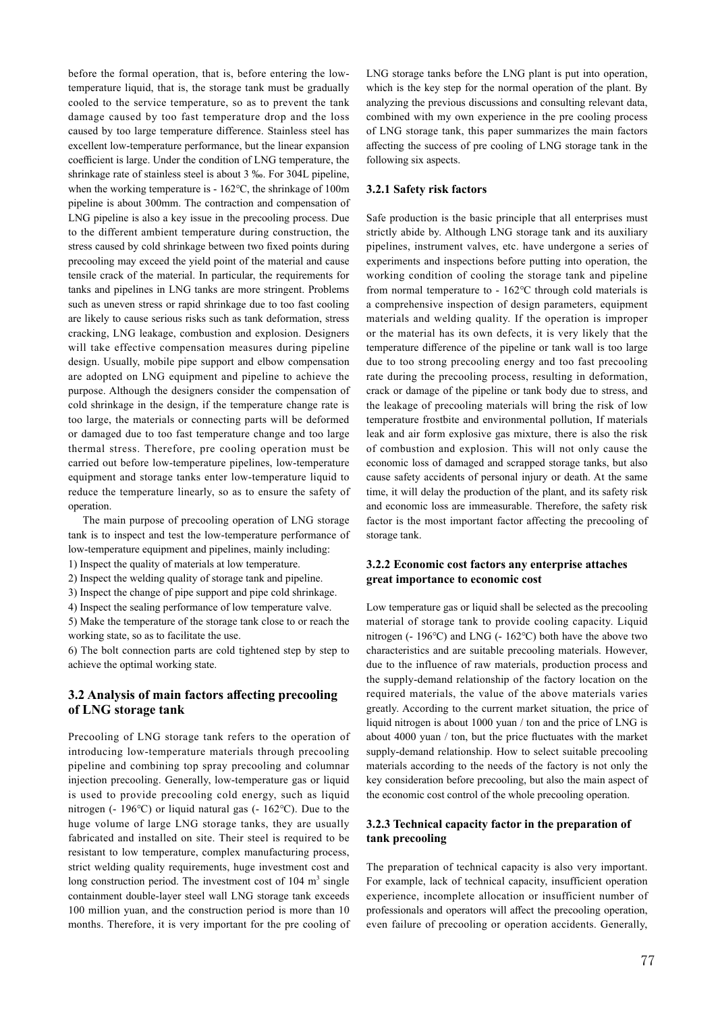before the formal operation, that is, before entering the lowtemperature liquid, that is, the storage tank must be gradually cooled to the service temperature, so as to prevent the tank damage caused by too fast temperature drop and the loss caused by too large temperature difference. Stainless steel has excellent low-temperature performance, but the linear expansion coefficient is large. Under the condition of LNG temperature, the shrinkage rate of stainless steel is about 3 ‰. For 304L pipeline, when the working temperature is - 162℃, the shrinkage of 100m pipeline is about 300mm. The contraction and compensation of LNG pipeline is also a key issue in the precooling process. Due to the different ambient temperature during construction, the stress caused by cold shrinkage between two fixed points during precooling may exceed the yield point of the material and cause tensile crack of the material. In particular, the requirements for tanks and pipelines in LNG tanks are more stringent. Problems such as uneven stress or rapid shrinkage due to too fast cooling are likely to cause serious risks such as tank deformation, stress cracking, LNG leakage, combustion and explosion. Designers will take effective compensation measures during pipeline design. Usually, mobile pipe support and elbow compensation are adopted on LNG equipment and pipeline to achieve the purpose. Although the designers consider the compensation of cold shrinkage in the design, if the temperature change rate is too large, the materials or connecting parts will be deformed or damaged due to too fast temperature change and too large thermal stress. Therefore, pre cooling operation must be carried out before low-temperature pipelines, low-temperature equipment and storage tanks enter low-temperature liquid to reduce the temperature linearly, so as to ensure the safety of operation.

 The main purpose of precooling operation of LNG storage tank is to inspect and test the low-temperature performance of low-temperature equipment and pipelines, mainly including: 1) Inspect the quality of materials at low temperature.

2) Inspect the welding quality of storage tank and pipeline.

3) Inspect the change of pipe support and pipe cold shrinkage. 4) Inspect the sealing performance of low temperature valve.

5) Make the temperature of the storage tank close to or reach the working state, so as to facilitate the use.

6) The bolt connection parts are cold tightened step by step to achieve the optimal working state.

## **3.2 Analysis of main factors affecting precooling of LNG storage tank**

Precooling of LNG storage tank refers to the operation of introducing low-temperature materials through precooling pipeline and combining top spray precooling and columnar injection precooling. Generally, low-temperature gas or liquid is used to provide precooling cold energy, such as liquid nitrogen (- 196℃) or liquid natural gas (- 162℃). Due to the huge volume of large LNG storage tanks, they are usually fabricated and installed on site. Their steel is required to be resistant to low temperature, complex manufacturing process, strict welding quality requirements, huge investment cost and long construction period. The investment cost of  $104 \text{ m}^3$  single containment double-layer steel wall LNG storage tank exceeds 100 million yuan, and the construction period is more than 10 months. Therefore, it is very important for the pre cooling of

LNG storage tanks before the LNG plant is put into operation, which is the key step for the normal operation of the plant. By analyzing the previous discussions and consulting relevant data, combined with my own experience in the pre cooling process of LNG storage tank, this paper summarizes the main factors affecting the success of pre cooling of LNG storage tank in the following six aspects.

### **3.2.1 Safety risk factors**

Safe production is the basic principle that all enterprises must strictly abide by. Although LNG storage tank and its auxiliary pipelines, instrument valves, etc. have undergone a series of experiments and inspections before putting into operation, the working condition of cooling the storage tank and pipeline from normal temperature to - 162℃ through cold materials is a comprehensive inspection of design parameters, equipment materials and welding quality. If the operation is improper or the material has its own defects, it is very likely that the temperature difference of the pipeline or tank wall is too large due to too strong precooling energy and too fast precooling rate during the precooling process, resulting in deformation, crack or damage of the pipeline or tank body due to stress, and the leakage of precooling materials will bring the risk of low temperature frostbite and environmental pollution, If materials leak and air form explosive gas mixture, there is also the risk of combustion and explosion. This will not only cause the economic loss of damaged and scrapped storage tanks, but also cause safety accidents of personal injury or death. At the same time, it will delay the production of the plant, and its safety risk and economic loss are immeasurable. Therefore, the safety risk factor is the most important factor affecting the precooling of storage tank.

### **3.2.2 Economic cost factors any enterprise attaches great importance to economic cost**

Low temperature gas or liquid shall be selected as the precooling material of storage tank to provide cooling capacity. Liquid nitrogen (- 196℃) and LNG (- 162℃) both have the above two characteristics and are suitable precooling materials. However, due to the influence of raw materials, production process and the supply-demand relationship of the factory location on the required materials, the value of the above materials varies greatly. According to the current market situation, the price of liquid nitrogen is about 1000 yuan / ton and the price of LNG is about 4000 yuan / ton, but the price fluctuates with the market supply-demand relationship. How to select suitable precooling materials according to the needs of the factory is not only the key consideration before precooling, but also the main aspect of the economic cost control of the whole precooling operation.

## **3.2.3 Technical capacity factor in the preparation of tank precooling**

The preparation of technical capacity is also very important. For example, lack of technical capacity, insufficient operation experience, incomplete allocation or insufficient number of professionals and operators will affect the precooling operation, even failure of precooling or operation accidents. Generally,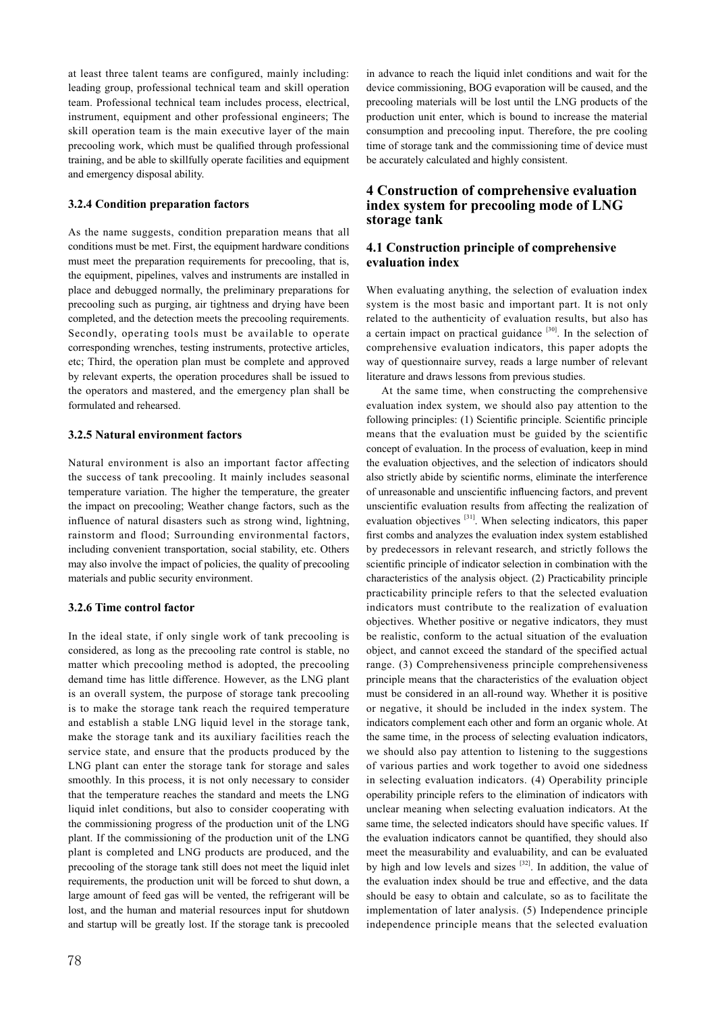at least three talent teams are configured, mainly including: leading group, professional technical team and skill operation team. Professional technical team includes process, electrical, instrument, equipment and other professional engineers; The skill operation team is the main executive layer of the main precooling work, which must be qualified through professional training, and be able to skillfully operate facilities and equipment and emergency disposal ability.

### **3.2.4 Condition preparation factors**

As the name suggests, condition preparation means that all conditions must be met. First, the equipment hardware conditions must meet the preparation requirements for precooling, that is, the equipment, pipelines, valves and instruments are installed in place and debugged normally, the preliminary preparations for precooling such as purging, air tightness and drying have been completed, and the detection meets the precooling requirements. Secondly, operating tools must be available to operate corresponding wrenches, testing instruments, protective articles, etc; Third, the operation plan must be complete and approved by relevant experts, the operation procedures shall be issued to the operators and mastered, and the emergency plan shall be formulated and rehearsed.

### **3.2.5 Natural environment factors**

Natural environment is also an important factor affecting the success of tank precooling. It mainly includes seasonal temperature variation. The higher the temperature, the greater the impact on precooling; Weather change factors, such as the influence of natural disasters such as strong wind, lightning, rainstorm and flood; Surrounding environmental factors, including convenient transportation, social stability, etc. Others may also involve the impact of policies, the quality of precooling materials and public security environment.

## **3.2.6 Time control factor**

In the ideal state, if only single work of tank precooling is considered, as long as the precooling rate control is stable, no matter which precooling method is adopted, the precooling demand time has little difference. However, as the LNG plant is an overall system, the purpose of storage tank precooling is to make the storage tank reach the required temperature and establish a stable LNG liquid level in the storage tank, make the storage tank and its auxiliary facilities reach the service state, and ensure that the products produced by the LNG plant can enter the storage tank for storage and sales smoothly. In this process, it is not only necessary to consider that the temperature reaches the standard and meets the LNG liquid inlet conditions, but also to consider cooperating with the commissioning progress of the production unit of the LNG plant. If the commissioning of the production unit of the LNG plant is completed and LNG products are produced, and the precooling of the storage tank still does not meet the liquid inlet requirements, the production unit will be forced to shut down, a large amount of feed gas will be vented, the refrigerant will be lost, and the human and material resources input for shutdown and startup will be greatly lost. If the storage tank is precooled

## **4 Construction of comprehensive evaluation index system for precooling mode of LNG storage tank**

## **4.1 Construction principle of comprehensive evaluation index**

When evaluating anything, the selection of evaluation index system is the most basic and important part. It is not only related to the authenticity of evaluation results, but also has a certain impact on practical guidance  $[30]$ . In the selection of comprehensive evaluation indicators, this paper adopts the way of questionnaire survey, reads a large number of relevant literature and draws lessons from previous studies.

 At the same time, when constructing the comprehensive evaluation index system, we should also pay attention to the following principles: (1) Scientific principle. Scientific principle means that the evaluation must be guided by the scientific concept of evaluation. In the process of evaluation, keep in mind the evaluation objectives, and the selection of indicators should also strictly abide by scientific norms, eliminate the interference of unreasonable and unscientific influencing factors, and prevent unscientific evaluation results from affecting the realization of evaluation objectives <sup>[31]</sup>. When selecting indicators, this paper first combs and analyzes the evaluation index system established by predecessors in relevant research, and strictly follows the scientific principle of indicator selection in combination with the characteristics of the analysis object. (2) Practicability principle practicability principle refers to that the selected evaluation indicators must contribute to the realization of evaluation objectives. Whether positive or negative indicators, they must be realistic, conform to the actual situation of the evaluation object, and cannot exceed the standard of the specified actual range. (3) Comprehensiveness principle comprehensiveness principle means that the characteristics of the evaluation object must be considered in an all-round way. Whether it is positive or negative, it should be included in the index system. The indicators complement each other and form an organic whole. At the same time, in the process of selecting evaluation indicators, we should also pay attention to listening to the suggestions of various parties and work together to avoid one sidedness in selecting evaluation indicators. (4) Operability principle operability principle refers to the elimination of indicators with unclear meaning when selecting evaluation indicators. At the same time, the selected indicators should have specific values. If the evaluation indicators cannot be quantified, they should also meet the measurability and evaluability, and can be evaluated by high and low levels and sizes  $[32]$ . In addition, the value of the evaluation index should be true and effective, and the data should be easy to obtain and calculate, so as to facilitate the implementation of later analysis. (5) Independence principle independence principle means that the selected evaluation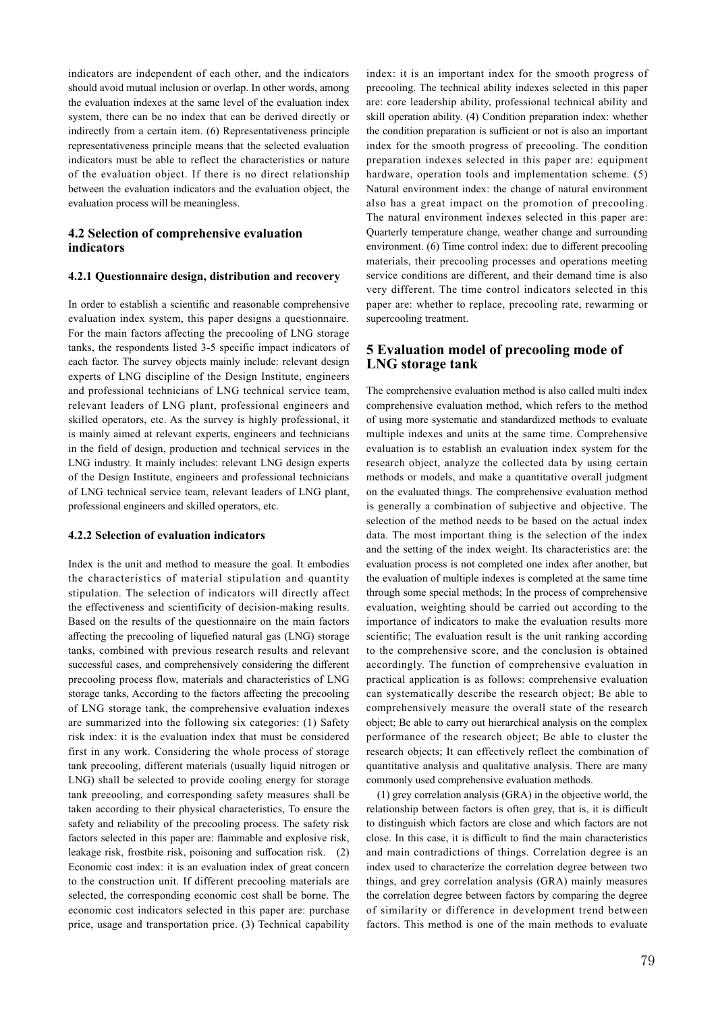indicators are independent of each other, and the indicators should avoid mutual inclusion or overlap. In other words, among the evaluation indexes at the same level of the evaluation index system, there can be no index that can be derived directly or indirectly from a certain item. (6) Representativeness principle representativeness principle means that the selected evaluation indicators must be able to reflect the characteristics or nature of the evaluation object. If there is no direct relationship between the evaluation indicators and the evaluation object, the evaluation process will be meaningless.

## **4.2 Selection of comprehensive evaluation indicators**

### **4.2.1 Questionnaire design, distribution and recovery**

In order to establish a scientific and reasonable comprehensive evaluation index system, this paper designs a questionnaire. For the main factors affecting the precooling of LNG storage tanks, the respondents listed 3-5 specific impact indicators of each factor. The survey objects mainly include: relevant design experts of LNG discipline of the Design Institute, engineers and professional technicians of LNG technical service team, relevant leaders of LNG plant, professional engineers and skilled operators, etc. As the survey is highly professional, it is mainly aimed at relevant experts, engineers and technicians in the field of design, production and technical services in the LNG industry. It mainly includes: relevant LNG design experts of the Design Institute, engineers and professional technicians of LNG technical service team, relevant leaders of LNG plant, professional engineers and skilled operators, etc.

#### **4.2.2 Selection of evaluation indicators**

Index is the unit and method to measure the goal. It embodies the characteristics of material stipulation and quantity stipulation. The selection of indicators will directly affect the effectiveness and scientificity of decision-making results. Based on the results of the questionnaire on the main factors affecting the precooling of liquefied natural gas (LNG) storage tanks, combined with previous research results and relevant successful cases, and comprehensively considering the different precooling process flow, materials and characteristics of LNG storage tanks, According to the factors affecting the precooling of LNG storage tank, the comprehensive evaluation indexes are summarized into the following six categories: (1) Safety risk index: it is the evaluation index that must be considered first in any work. Considering the whole process of storage tank precooling, different materials (usually liquid nitrogen or LNG) shall be selected to provide cooling energy for storage tank precooling, and corresponding safety measures shall be taken according to their physical characteristics, To ensure the safety and reliability of the precooling process. The safety risk factors selected in this paper are: flammable and explosive risk, leakage risk, frostbite risk, poisoning and suffocation risk. (2) Economic cost index: it is an evaluation index of great concern to the construction unit. If different precooling materials are selected, the corresponding economic cost shall be borne. The economic cost indicators selected in this paper are: purchase price, usage and transportation price. (3) Technical capability index: it is an important index for the smooth progress of precooling. The technical ability indexes selected in this paper are: core leadership ability, professional technical ability and skill operation ability. (4) Condition preparation index: whether the condition preparation is sufficient or not is also an important index for the smooth progress of precooling. The condition preparation indexes selected in this paper are: equipment hardware, operation tools and implementation scheme. (5) Natural environment index: the change of natural environment also has a great impact on the promotion of precooling. The natural environment indexes selected in this paper are: Quarterly temperature change, weather change and surrounding environment. (6) Time control index: due to different precooling materials, their precooling processes and operations meeting service conditions are different, and their demand time is also very different. The time control indicators selected in this paper are: whether to replace, precooling rate, rewarming or supercooling treatment.

## **5 Evaluation model of precooling mode of LNG storage tank**

The comprehensive evaluation method is also called multi index comprehensive evaluation method, which refers to the method of using more systematic and standardized methods to evaluate multiple indexes and units at the same time. Comprehensive evaluation is to establish an evaluation index system for the research object, analyze the collected data by using certain methods or models, and make a quantitative overall judgment on the evaluated things. The comprehensive evaluation method is generally a combination of subjective and objective. The selection of the method needs to be based on the actual index data. The most important thing is the selection of the index and the setting of the index weight. Its characteristics are: the evaluation process is not completed one index after another, but the evaluation of multiple indexes is completed at the same time through some special methods; In the process of comprehensive evaluation, weighting should be carried out according to the importance of indicators to make the evaluation results more scientific; The evaluation result is the unit ranking according to the comprehensive score, and the conclusion is obtained accordingly. The function of comprehensive evaluation in practical application is as follows: comprehensive evaluation can systematically describe the research object; Be able to comprehensively measure the overall state of the research object; Be able to carry out hierarchical analysis on the complex performance of the research object; Be able to cluster the research objects; It can effectively reflect the combination of quantitative analysis and qualitative analysis. There are many commonly used comprehensive evaluation methods.

 (1) grey correlation analysis (GRA) in the objective world, the relationship between factors is often grey, that is, it is difficult to distinguish which factors are close and which factors are not close. In this case, it is difficult to find the main characteristics and main contradictions of things. Correlation degree is an index used to characterize the correlation degree between two things, and grey correlation analysis (GRA) mainly measures the correlation degree between factors by comparing the degree of similarity or difference in development trend between factors. This method is one of the main methods to evaluate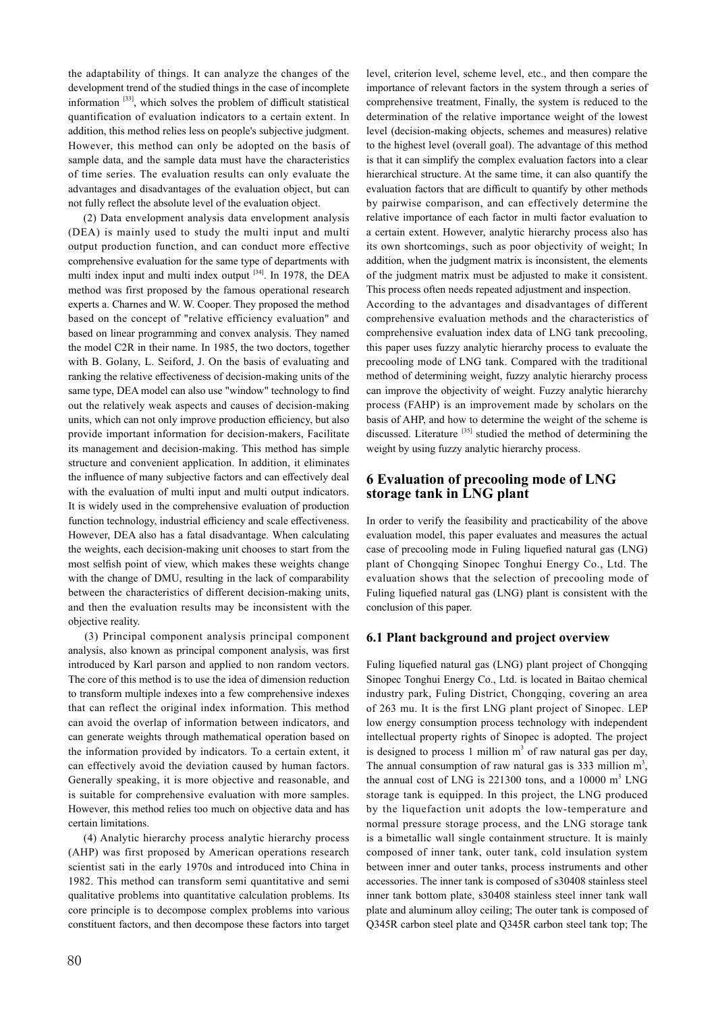the adaptability of things. It can analyze the changes of the development trend of the studied things in the case of incomplete information [33], which solves the problem of difficult statistical quantification of evaluation indicators to a certain extent. In addition, this method relies less on people's subjective judgment. However, this method can only be adopted on the basis of sample data, and the sample data must have the characteristics of time series. The evaluation results can only evaluate the advantages and disadvantages of the evaluation object, but can not fully reflect the absolute level of the evaluation object.

(2) Data envelopment analysis data envelopment analysis (DEA) is mainly used to study the multi input and multi output production function, and can conduct more effective comprehensive evaluation for the same type of departments with multi index input and multi index output <sup>[34]</sup>. In 1978, the DEA method was first proposed by the famous operational research experts a. Charnes and W. W. Cooper. They proposed the method based on the concept of "relative efficiency evaluation" and based on linear programming and convex analysis. They named the model C2R in their name. In 1985, the two doctors, together with B. Golany, L. Seiford, J. On the basis of evaluating and ranking the relative effectiveness of decision-making units of the same type, DEA model can also use "window" technology to find out the relatively weak aspects and causes of decision-making units, which can not only improve production efficiency, but also provide important information for decision-makers, Facilitate its management and decision-making. This method has simple structure and convenient application. In addition, it eliminates the influence of many subjective factors and can effectively deal with the evaluation of multi input and multi output indicators. It is widely used in the comprehensive evaluation of production function technology, industrial efficiency and scale effectiveness. However, DEA also has a fatal disadvantage. When calculating the weights, each decision-making unit chooses to start from the most selfish point of view, which makes these weights change with the change of DMU, resulting in the lack of comparability between the characteristics of different decision-making units, and then the evaluation results may be inconsistent with the objective reality.

(3) Principal component analysis principal component analysis, also known as principal component analysis, was first introduced by Karl parson and applied to non random vectors. The core of this method is to use the idea of dimension reduction to transform multiple indexes into a few comprehensive indexes that can reflect the original index information. This method can avoid the overlap of information between indicators, and can generate weights through mathematical operation based on the information provided by indicators. To a certain extent, it can effectively avoid the deviation caused by human factors. Generally speaking, it is more objective and reasonable, and is suitable for comprehensive evaluation with more samples. However, this method relies too much on objective data and has certain limitations.

(4) Analytic hierarchy process analytic hierarchy process (AHP) was first proposed by American operations research scientist sati in the early 1970s and introduced into China in 1982. This method can transform semi quantitative and semi qualitative problems into quantitative calculation problems. Its core principle is to decompose complex problems into various constituent factors, and then decompose these factors into target level, criterion level, scheme level, etc., and then compare the importance of relevant factors in the system through a series of comprehensive treatment, Finally, the system is reduced to the determination of the relative importance weight of the lowest level (decision-making objects, schemes and measures) relative to the highest level (overall goal). The advantage of this method is that it can simplify the complex evaluation factors into a clear hierarchical structure. At the same time, it can also quantify the evaluation factors that are difficult to quantify by other methods by pairwise comparison, and can effectively determine the relative importance of each factor in multi factor evaluation to a certain extent. However, analytic hierarchy process also has its own shortcomings, such as poor objectivity of weight; In addition, when the judgment matrix is inconsistent, the elements of the judgment matrix must be adjusted to make it consistent. This process often needs repeated adjustment and inspection.

According to the advantages and disadvantages of different comprehensive evaluation methods and the characteristics of comprehensive evaluation index data of LNG tank precooling, this paper uses fuzzy analytic hierarchy process to evaluate the precooling mode of LNG tank. Compared with the traditional method of determining weight, fuzzy analytic hierarchy process can improve the objectivity of weight. Fuzzy analytic hierarchy process (FAHP) is an improvement made by scholars on the basis of AHP, and how to determine the weight of the scheme is discussed. Literature<sup>[35]</sup> studied the method of determining the weight by using fuzzy analytic hierarchy process.

## **6 Evaluation of precooling mode of LNG storage tank in LNG plant**

In order to verify the feasibility and practicability of the above evaluation model, this paper evaluates and measures the actual case of precooling mode in Fuling liquefied natural gas (LNG) plant of Chongqing Sinopec Tonghui Energy Co., Ltd. The evaluation shows that the selection of precooling mode of Fuling liquefied natural gas (LNG) plant is consistent with the conclusion of this paper.

## **6.1 Plant background and project overview**

Fuling liquefied natural gas (LNG) plant project of Chongqing Sinopec Tonghui Energy Co., Ltd. is located in Baitao chemical industry park, Fuling District, Chongqing, covering an area of 263 mu. It is the first LNG plant project of Sinopec. LEP low energy consumption process technology with independent intellectual property rights of Sinopec is adopted. The project is designed to process 1 million  $m<sup>3</sup>$  of raw natural gas per day, The annual consumption of raw natural gas is 333 million  $m^3$ , the annual cost of LNG is  $221300$  tons, and a  $10000 \text{ m}^3$  LNG storage tank is equipped. In this project, the LNG produced by the liquefaction unit adopts the low-temperature and normal pressure storage process, and the LNG storage tank is a bimetallic wall single containment structure. It is mainly composed of inner tank, outer tank, cold insulation system between inner and outer tanks, process instruments and other accessories. The inner tank is composed of s30408 stainless steel inner tank bottom plate, s30408 stainless steel inner tank wall plate and aluminum alloy ceiling; The outer tank is composed of Q345R carbon steel plate and Q345R carbon steel tank top; The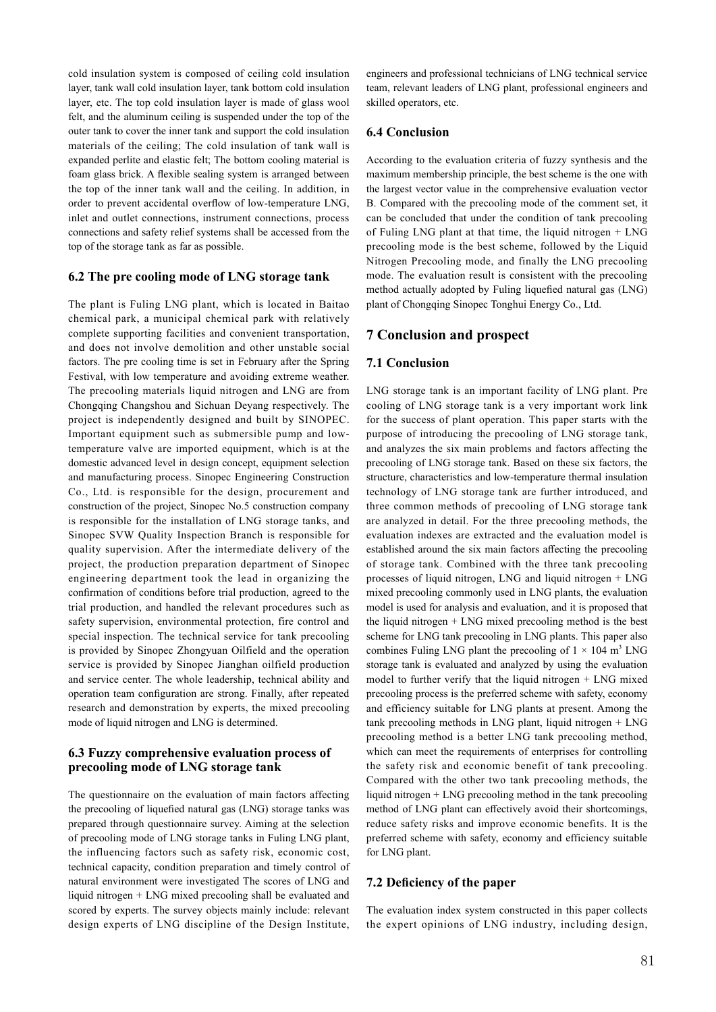cold insulation system is composed of ceiling cold insulation layer, tank wall cold insulation layer, tank bottom cold insulation layer, etc. The top cold insulation layer is made of glass wool felt, and the aluminum ceiling is suspended under the top of the outer tank to cover the inner tank and support the cold insulation materials of the ceiling; The cold insulation of tank wall is expanded perlite and elastic felt; The bottom cooling material is foam glass brick. A flexible sealing system is arranged between the top of the inner tank wall and the ceiling. In addition, in order to prevent accidental overflow of low-temperature LNG, inlet and outlet connections, instrument connections, process connections and safety relief systems shall be accessed from the top of the storage tank as far as possible.

## **6.2 The pre cooling mode of LNG storage tank**

The plant is Fuling LNG plant, which is located in Baitao chemical park, a municipal chemical park with relatively complete supporting facilities and convenient transportation, and does not involve demolition and other unstable social factors. The pre cooling time is set in February after the Spring Festival, with low temperature and avoiding extreme weather. The precooling materials liquid nitrogen and LNG are from Chongqing Changshou and Sichuan Deyang respectively. The project is independently designed and built by SINOPEC. Important equipment such as submersible pump and lowtemperature valve are imported equipment, which is at the domestic advanced level in design concept, equipment selection and manufacturing process. Sinopec Engineering Construction Co., Ltd. is responsible for the design, procurement and construction of the project, Sinopec No.5 construction company is responsible for the installation of LNG storage tanks, and Sinopec SVW Quality Inspection Branch is responsible for quality supervision. After the intermediate delivery of the project, the production preparation department of Sinopec engineering department took the lead in organizing the confirmation of conditions before trial production, agreed to the trial production, and handled the relevant procedures such as safety supervision, environmental protection, fire control and special inspection. The technical service for tank precooling is provided by Sinopec Zhongyuan Oilfield and the operation service is provided by Sinopec Jianghan oilfield production and service center. The whole leadership, technical ability and operation team configuration are strong. Finally, after repeated research and demonstration by experts, the mixed precooling mode of liquid nitrogen and LNG is determined.

## **6.3 Fuzzy comprehensive evaluation process of precooling mode of LNG storage tank**

The questionnaire on the evaluation of main factors affecting the precooling of liquefied natural gas (LNG) storage tanks was prepared through questionnaire survey. Aiming at the selection of precooling mode of LNG storage tanks in Fuling LNG plant, the influencing factors such as safety risk, economic cost, technical capacity, condition preparation and timely control of natural environment were investigated The scores of LNG and liquid nitrogen + LNG mixed precooling shall be evaluated and scored by experts. The survey objects mainly include: relevant design experts of LNG discipline of the Design Institute,

engineers and professional technicians of LNG technical service team, relevant leaders of LNG plant, professional engineers and skilled operators, etc.

### **6.4 Conclusion**

According to the evaluation criteria of fuzzy synthesis and the maximum membership principle, the best scheme is the one with the largest vector value in the comprehensive evaluation vector B. Compared with the precooling mode of the comment set, it can be concluded that under the condition of tank precooling of Fuling LNG plant at that time, the liquid nitrogen + LNG precooling mode is the best scheme, followed by the Liquid Nitrogen Precooling mode, and finally the LNG precooling mode. The evaluation result is consistent with the precooling method actually adopted by Fuling liquefied natural gas (LNG) plant of Chongqing Sinopec Tonghui Energy Co., Ltd.

## **7 Conclusion and prospect**

## **7.1 Conclusion**

LNG storage tank is an important facility of LNG plant. Pre cooling of LNG storage tank is a very important work link for the success of plant operation. This paper starts with the purpose of introducing the precooling of LNG storage tank, and analyzes the six main problems and factors affecting the precooling of LNG storage tank. Based on these six factors, the structure, characteristics and low-temperature thermal insulation technology of LNG storage tank are further introduced, and three common methods of precooling of LNG storage tank are analyzed in detail. For the three precooling methods, the evaluation indexes are extracted and the evaluation model is established around the six main factors affecting the precooling of storage tank. Combined with the three tank precooling processes of liquid nitrogen, LNG and liquid nitrogen + LNG mixed precooling commonly used in LNG plants, the evaluation model is used for analysis and evaluation, and it is proposed that the liquid nitrogen + LNG mixed precooling method is the best scheme for LNG tank precooling in LNG plants. This paper also combines Fuling LNG plant the precooling of  $1 \times 104$  m<sup>3</sup> LNG storage tank is evaluated and analyzed by using the evaluation model to further verify that the liquid nitrogen + LNG mixed precooling process is the preferred scheme with safety, economy and efficiency suitable for LNG plants at present. Among the tank precooling methods in LNG plant, liquid nitrogen + LNG precooling method is a better LNG tank precooling method, which can meet the requirements of enterprises for controlling the safety risk and economic benefit of tank precooling. Compared with the other two tank precooling methods, the liquid nitrogen + LNG precooling method in the tank precooling method of LNG plant can effectively avoid their shortcomings, reduce safety risks and improve economic benefits. It is the preferred scheme with safety, economy and efficiency suitable for LNG plant.

### **7.2 Deficiency of the paper**

The evaluation index system constructed in this paper collects the expert opinions of LNG industry, including design,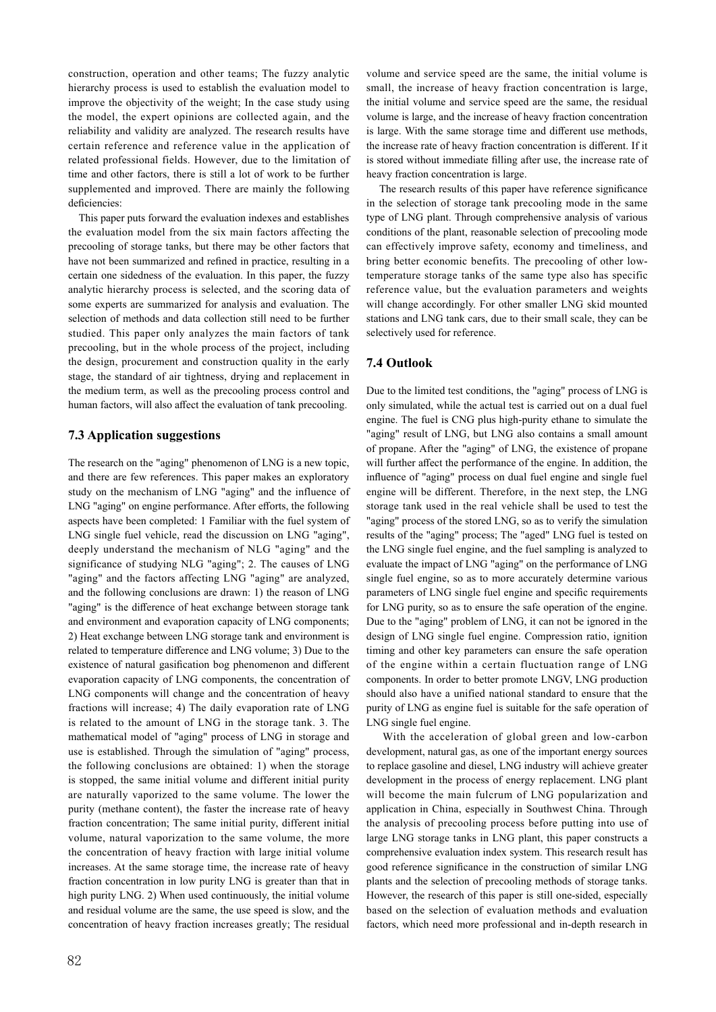construction, operation and other teams; The fuzzy analytic hierarchy process is used to establish the evaluation model to improve the objectivity of the weight; In the case study using the model, the expert opinions are collected again, and the reliability and validity are analyzed. The research results have certain reference and reference value in the application of related professional fields. However, due to the limitation of time and other factors, there is still a lot of work to be further supplemented and improved. There are mainly the following deficiencies:

 This paper puts forward the evaluation indexes and establishes the evaluation model from the six main factors affecting the precooling of storage tanks, but there may be other factors that have not been summarized and refined in practice, resulting in a certain one sidedness of the evaluation. In this paper, the fuzzy analytic hierarchy process is selected, and the scoring data of some experts are summarized for analysis and evaluation. The selection of methods and data collection still need to be further studied. This paper only analyzes the main factors of tank precooling, but in the whole process of the project, including the design, procurement and construction quality in the early stage, the standard of air tightness, drying and replacement in the medium term, as well as the precooling process control and human factors, will also affect the evaluation of tank precooling.

## **7.3 Application suggestions**

The research on the "aging" phenomenon of LNG is a new topic, and there are few references. This paper makes an exploratory study on the mechanism of LNG "aging" and the influence of LNG "aging" on engine performance. After efforts, the following aspects have been completed: 1 Familiar with the fuel system of LNG single fuel vehicle, read the discussion on LNG "aging", deeply understand the mechanism of NLG "aging" and the significance of studying NLG "aging"; 2. The causes of LNG "aging" and the factors affecting LNG "aging" are analyzed, and the following conclusions are drawn: 1) the reason of LNG "aging" is the difference of heat exchange between storage tank and environment and evaporation capacity of LNG components; 2) Heat exchange between LNG storage tank and environment is related to temperature difference and LNG volume; 3) Due to the existence of natural gasification bog phenomenon and different evaporation capacity of LNG components, the concentration of LNG components will change and the concentration of heavy fractions will increase; 4) The daily evaporation rate of LNG is related to the amount of LNG in the storage tank. 3. The mathematical model of "aging" process of LNG in storage and use is established. Through the simulation of "aging" process, the following conclusions are obtained: 1) when the storage is stopped, the same initial volume and different initial purity are naturally vaporized to the same volume. The lower the purity (methane content), the faster the increase rate of heavy fraction concentration; The same initial purity, different initial volume, natural vaporization to the same volume, the more the concentration of heavy fraction with large initial volume increases. At the same storage time, the increase rate of heavy fraction concentration in low purity LNG is greater than that in high purity LNG. 2) When used continuously, the initial volume and residual volume are the same, the use speed is slow, and the concentration of heavy fraction increases greatly; The residual volume and service speed are the same, the initial volume is small, the increase of heavy fraction concentration is large, the initial volume and service speed are the same, the residual volume is large, and the increase of heavy fraction concentration is large. With the same storage time and different use methods, the increase rate of heavy fraction concentration is different. If it is stored without immediate filling after use, the increase rate of heavy fraction concentration is large.

 The research results of this paper have reference significance in the selection of storage tank precooling mode in the same type of LNG plant. Through comprehensive analysis of various conditions of the plant, reasonable selection of precooling mode can effectively improve safety, economy and timeliness, and bring better economic benefits. The precooling of other lowtemperature storage tanks of the same type also has specific reference value, but the evaluation parameters and weights will change accordingly. For other smaller LNG skid mounted stations and LNG tank cars, due to their small scale, they can be selectively used for reference.

## **7.4 Outlook**

Due to the limited test conditions, the "aging" process of LNG is only simulated, while the actual test is carried out on a dual fuel engine. The fuel is CNG plus high-purity ethane to simulate the "aging" result of LNG, but LNG also contains a small amount of propane. After the "aging" of LNG, the existence of propane will further affect the performance of the engine. In addition, the influence of "aging" process on dual fuel engine and single fuel engine will be different. Therefore, in the next step, the LNG storage tank used in the real vehicle shall be used to test the "aging" process of the stored LNG, so as to verify the simulation results of the "aging" process; The "aged" LNG fuel is tested on the LNG single fuel engine, and the fuel sampling is analyzed to evaluate the impact of LNG "aging" on the performance of LNG single fuel engine, so as to more accurately determine various parameters of LNG single fuel engine and specific requirements for LNG purity, so as to ensure the safe operation of the engine. Due to the "aging" problem of LNG, it can not be ignored in the design of LNG single fuel engine. Compression ratio, ignition timing and other key parameters can ensure the safe operation of the engine within a certain fluctuation range of LNG components. In order to better promote LNGV, LNG production should also have a unified national standard to ensure that the purity of LNG as engine fuel is suitable for the safe operation of LNG single fuel engine.

 With the acceleration of global green and low-carbon development, natural gas, as one of the important energy sources to replace gasoline and diesel, LNG industry will achieve greater development in the process of energy replacement. LNG plant will become the main fulcrum of LNG popularization and application in China, especially in Southwest China. Through the analysis of precooling process before putting into use of large LNG storage tanks in LNG plant, this paper constructs a comprehensive evaluation index system. This research result has good reference significance in the construction of similar LNG plants and the selection of precooling methods of storage tanks. However, the research of this paper is still one-sided, especially based on the selection of evaluation methods and evaluation factors, which need more professional and in-depth research in